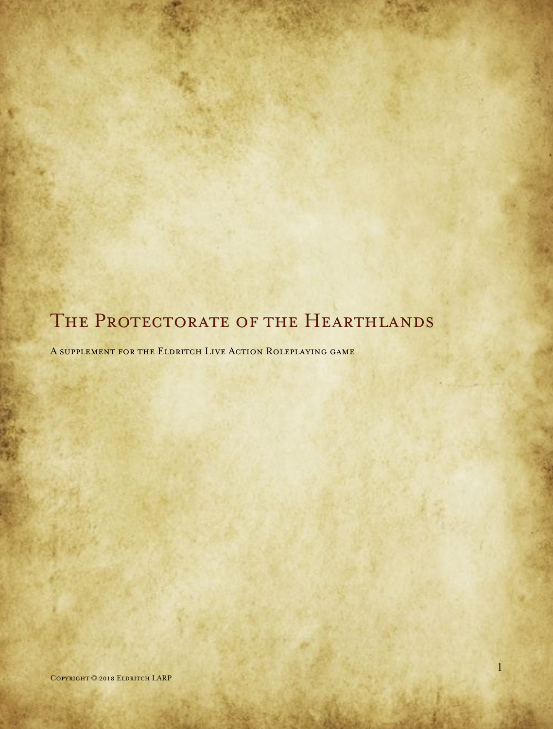# THE PROTECTORATE OF THE HEARTHLANDS

A supplement for the Eldritch Live Action Roleplaying game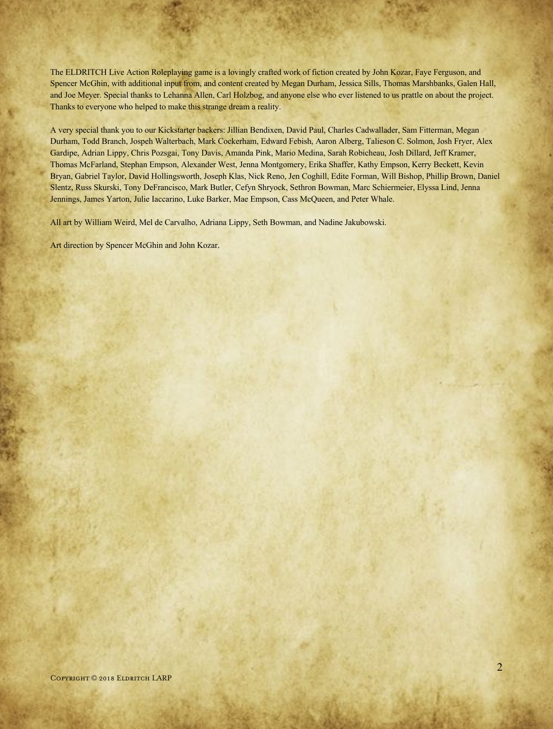The ELDRITCH Live Action Roleplaying game is a lovingly crafted work of fiction created by John Kozar, Faye Ferguson, and Spencer McGhin, with additional input from, and content created by Megan Durham, Jessica Sills, Thomas Marshbanks, Galen Hall, and Joe Meyer. Special thanks to Lehanna Allen, Carl Holzbog, and anyone else who ever listened to us prattle on about the project. Thanks to everyone who helped to make this strange dream a reality.

A very special thank you to our Kickstarter backers: Jillian Bendixen, David Paul, Charles Cadwallader, Sam Fitterman, Megan Durham, Todd Branch, Jospeh Walterbach, Mark Cockerham, Edward Febish, Aaron Alberg, Talieson C. Solmon, Josh Fryer, Alex Gardipe, Adrian Lippy, Chris Pozsgai, Tony Davis, Amanda Pink, Mario Medina, Sarah Robicheau, Josh Dillard, Jeff Kramer, Thomas McFarland, Stephan Empson, Alexander West, Jenna Montgomery, Erika Shaffer, Kathy Empson, Kerry Beckett, Kevin Bryan, Gabriel Taylor, David Hollingsworth, Joseph Klas, Nick Reno, Jen Coghill, Edite Forman, Will Bishop, Phillip Brown, Daniel Slentz, Russ Skurski, Tony DeFrancisco, Mark Butler, Cefyn Shryock, Sethron Bowman, Marc Schiermeier, Elyssa Lind, Jenna Jennings, James Yarton, Julie Iaccarino, Luke Barker, Mae Empson, Cass McQueen, and Peter Whale.

All art by William Weird, Mel de Carvalho, Adriana Lippy, Seth Bowman, and Nadine Jakubowski.

Art direction by Spencer McGhin and John Kozar.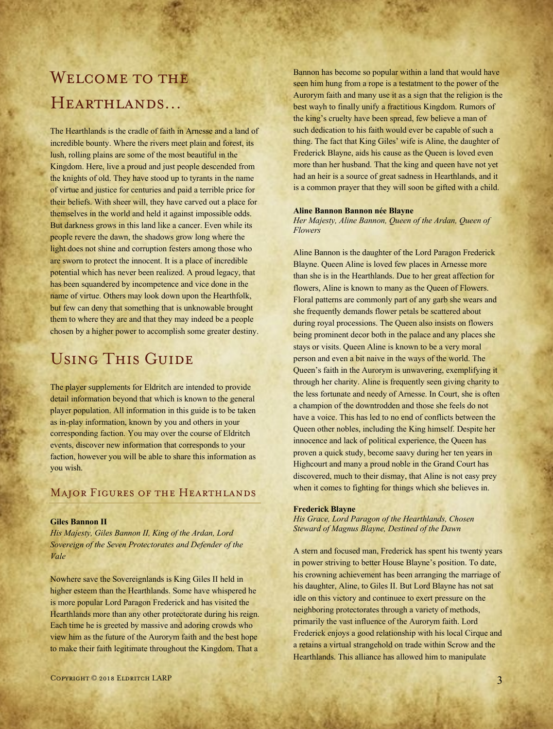# WELCOME TO THE Hearthlands…

The Hearthlands is the cradle of faith in Arnesse and a land of incredible bounty. Where the rivers meet plain and forest, its lush, rolling plains are some of the most beautiful in the Kingdom. Here, live a proud and just people descended from the knights of old. They have stood up to tyrants in the name of virtue and justice for centuries and paid a terrible price for their beliefs. With sheer will, they have carved out a place for themselves in the world and held it against impossible odds. But darkness grows in this land like a cancer. Even while its people revere the dawn, the shadows grow long where the light does not shine and corruption festers among those who are sworn to protect the innocent. It is a place of incredible potential which has never been realized. A proud legacy, that has been squandered by incompetence and vice done in the name of virtue. Others may look down upon the Hearthfolk, but few can deny that something that is unknowable brought them to where they are and that they may indeed be a people chosen by a higher power to accomplish some greater destiny.

# Using This Guide

The player supplements for Eldritch are intended to provide detail information beyond that which is known to the general player population. All information in this guide is to be taken as in-play information, known by you and others in your corresponding faction. You may over the course of Eldritch events, discover new information that corresponds to your faction, however you will be able to share this information as you wish.

## Major Figures of the Hearthlands

#### **Giles Bannon II**

*His Majesty, Giles Bannon II, King of the Ardan, Lord Sovereign of the Seven Protectorates and Defender of the Vale*

Nowhere save the Sovereignlands is King Giles II held in higher esteem than the Hearthlands. Some have whispered he is more popular Lord Paragon Frederick and has visited the Hearthlands more than any other protectorate during his reign. Each time he is greeted by massive and adoring crowds who view him as the future of the Aurorym faith and the best hope to make their faith legitimate throughout the Kingdom. That a

Bannon has become so popular within a land that would have seen him hung from a rope is a testatment to the power of the Aurorym faith and many use it as a sign that the religion is the best wayh to finally unify a fractitious Kingdom. Rumors of the king's cruelty have been spread, few believe a man of such dedication to his faith would ever be capable of such a thing. The fact that King Giles' wife is Aline, the daughter of Frederick Blayne, aids his cause as the Queen is loved even more than her husband. That the king and queen have not yet had an heir is a source of great sadness in Hearthlands, and it is a common prayer that they will soon be gifted with a child.

#### **Aline Bannon Bannon née Blayne**

*Her Majesty, Aline Bannon, Queen of the Ardan, Queen of Flowers*

Aline Bannon is the daughter of the Lord Paragon Frederick Blayne. Queen Aline is loved few places in Arnesse more than she is in the Hearthlands. Due to her great affection for flowers, Aline is known to many as the Queen of Flowers. Floral patterns are commonly part of any garb she wears and she frequently demands flower petals be scattered about during royal processions. The Queen also insists on flowers being prominent decor both in the palace and any places she stays or visits. Queen Aline is known to be a very moral person and even a bit naive in the ways of the world. The Queen's faith in the Aurorym is unwavering, exemplifying it through her charity. Aline is frequently seen giving charity to the less fortunate and needy of Arnesse. In Court, she is often a champion of the downtrodden and those she feels do not have a voice. This has led to no end of conflicts between the Queen other nobles, including the King himself. Despite her innocence and lack of political experience, the Queen has proven a quick study, become saavy during her ten years in Highcourt and many a proud noble in the Grand Court has discovered, much to their dismay, that Aline is not easy prey when it comes to fighting for things which she believes in.

#### **Frederick Blayne**

*His Grace, Lord Paragon of the Hearthlands, Chosen Steward of Magnus Blayne, Destined of the Dawn*

A stern and focused man, Frederick has spent his twenty years in power striving to better House Blayne's position. To date, his crowning achievement has been arranging the marriage of his daughter, Aline, to Giles II. But Lord Blayne has not sat idle on this victory and continuee to exert pressure on the neighboring protectorates through a variety of methods, primarily the vast influence of the Aurorym faith. Lord Frederick enjoys a good relationship with his local Cirque and a retains a virtual strangehold on trade within Scrow and the Hearthlands. This alliance has allowed him to manipulate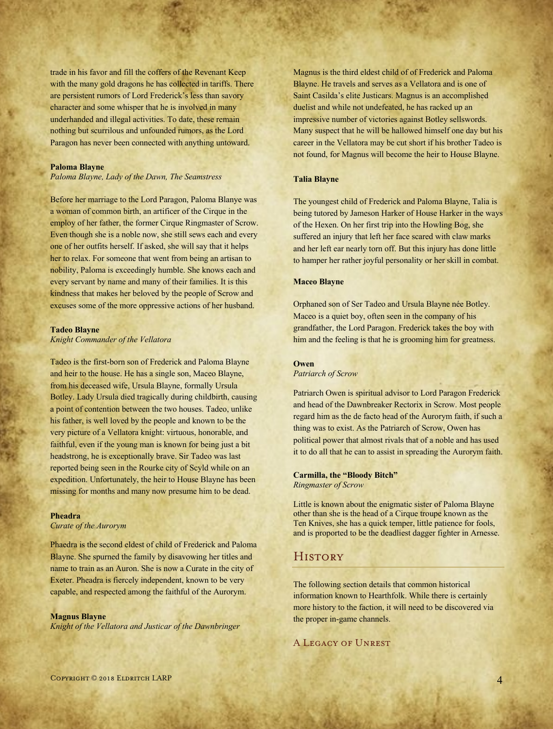trade in his favor and fill the coffers of the Revenant Keep with the many gold dragons he has collected in tariffs. There are persistent rumors of Lord Frederick's less than savory character and some whisper that he is involved in many underhanded and illegal activities. To date, these remain nothing but scurrilous and unfounded rumors, as the Lord Paragon has never been connected with anything untoward.

#### **Paloma Blayne**

*Paloma Blayne, Lady of the Dawn, The Seamstress* 

Before her marriage to the Lord Paragon, Paloma Blanye was a woman of common birth, an artificer of the Cirque in the employ of her father, the former Cirque Ringmaster of Scrow. Even though she is a noble now, she still sews each and every one of her outfits herself. If asked, she will say that it helps her to relax. For someone that went from being an artisan to nobility, Paloma is exceedingly humble. She knows each and every servant by name and many of their families. It is this kindness that makes her beloved by the people of Scrow and excuses some of the more oppressive actions of her husband.

#### **Tadeo Blayne**

*Knight Commander of the Vellatora*

Tadeo is the first-born son of Frederick and Paloma Blayne and heir to the house. He has a single son, Maceo Blayne, from his deceased wife, Ursula Blayne, formally Ursula Botley. Lady Ursula died tragically during childbirth, causing a point of contention between the two houses. Tadeo, unlike his father, is well loved by the people and known to be the very picture of a Vellatora knight: virtuous, honorable, and faithful, even if the young man is known for being just a bit headstrong, he is exceptionally brave. Sir Tadeo was last reported being seen in the Rourke city of Scyld while on an expedition. Unfortunately, the heir to House Blayne has been missing for months and many now presume him to be dead.

#### **Pheadra**

*Curate of the Aurorym*

Phaedra is the second eldest of child of Frederick and Paloma Blayne. She spurned the family by disavowing her titles and name to train as an Auron. She is now a Curate in the city of Exeter. Pheadra is fiercely independent, known to be very capable, and respected among the faithful of the Aurorym.

#### **Magnus Blayne**

*Knight of the Vellatora and Justicar of the Dawnbringer*

Magnus is the third eldest child of of Frederick and Paloma Blayne. He travels and serves as a Vellatora and is one of Saint Casilda's elite Justicars. Magnus is an accomplished duelist and while not undefeated, he has racked up an impressive number of victories against Botley sellswords. Many suspect that he will be hallowed himself one day but his career in the Vellatora may be cut short if his brother Tadeo is not found, for Magnus will become the heir to House Blayne.

#### **Talia Blayne**

The youngest child of Frederick and Paloma Blayne, Talia is being tutored by Jameson Harker of House Harker in the ways of the Hexen. On her first trip into the Howling Bog, she suffered an injury that left her face scared with claw marks and her left ear nearly torn off. But this injury has done little to hamper her rather joyful personality or her skill in combat.

#### **Maceo Blayne**

Orphaned son of Ser Tadeo and Ursula Blayne née Botley. Maceo is a quiet boy, often seen in the company of his grandfather, the Lord Paragon. Frederick takes the boy with him and the feeling is that he is grooming him for greatness.

## **Owen**

*Patriarch of Scrow*

Patriarch Owen is spiritual advisor to Lord Paragon Frederick and head of the Dawnbreaker Rectorix in Scrow. Most people regard him as the de facto head of the Aurorym faith, if such a thing was to exist. As the Patriarch of Scrow, Owen has political power that almost rivals that of a noble and has used it to do all that he can to assist in spreading the Aurorym faith.

**Carmilla, the "Bloody Bitch"** *Ringmaster of Scrow*

Little is known about the enigmatic sister of Paloma Blayne other than she is the head of a Cirque troupe known as the Ten Knives, she has a quick temper, little patience for fools, and is proported to be the deadliest dagger fighter in Arnesse.

## **HISTORY**

The following section details that common historical information known to Hearthfolk. While there is certainly more history to the faction, it will need to be discovered via the proper in-game channels.

## A Legacy of Unrest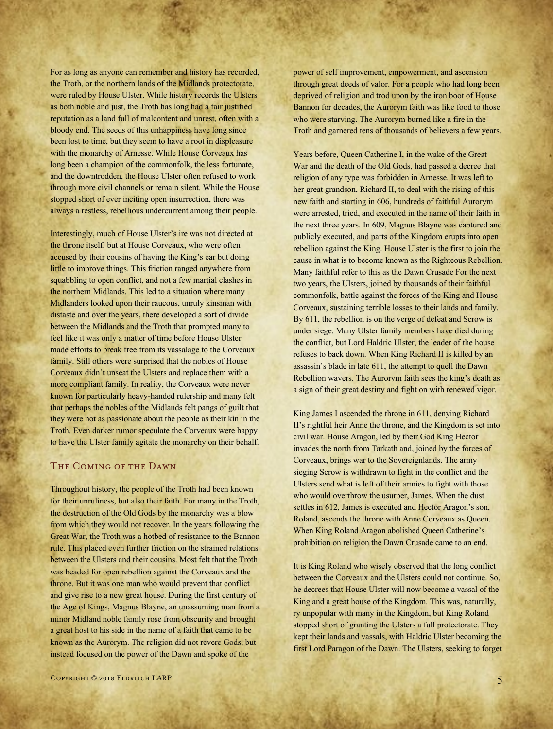For as long as anyone can remember and history has recorded, the Troth, or the northern lands of the Midlands protectorate, were ruled by House Ulster. While history records the Ulsters as both noble and just, the Troth has long had a fair justified reputation as a land full of malcontent and unrest, often with a bloody end. The seeds of this unhappiness have long since been lost to time, but they seem to have a root in displeasure with the monarchy of Arnesse. While House Corveaux has long been a champion of the commonfolk, the less fortunate, and the downtrodden, the House Ulster often refused to work through more civil channels or remain silent. While the House stopped short of ever inciting open insurrection, there was always a restless, rebellious undercurrent among their people.

Interestingly, much of House Ulster's ire was not directed at the throne itself, but at House Corveaux, who were often accused by their cousins of having the King's ear but doing little to improve things. This friction ranged anywhere from squabbling to open conflict, and not a few martial clashes in the northern Midlands. This led to a situation where many Midlanders looked upon their raucous, unruly kinsman with distaste and over the years, there developed a sort of divide between the Midlands and the Troth that prompted many to feel like it was only a matter of time before House Ulster made efforts to break free from its vassalage to the Corveaux family. Still others were surprised that the nobles of House Corveaux didn't unseat the Ulsters and replace them with a more compliant family. In reality, the Corveaux were never known for particularly heavy-handed rulership and many felt that perhaps the nobles of the Midlands felt pangs of guilt that they were not as passionate about the people as their kin in the Troth. Even darker rumor speculate the Corveaux were happy to have the Ulster family agitate the monarchy on their behalf.

#### The Coming of the Dawn

Throughout history, the people of the Troth had been known for their unruliness, but also their faith. For many in the Troth, the destruction of the Old Gods by the monarchy was a blow from which they would not recover. In the years following the Great War, the Troth was a hotbed of resistance to the Bannon rule. This placed even further friction on the strained relations between the Ulsters and their cousins. Most felt that the Troth was headed for open rebellion against the Corveaux and the throne. But it was one man who would prevent that conflict and give rise to a new great house. During the first century of the Age of Kings, Magnus Blayne, an unassuming man from a minor Midland noble family rose from obscurity and brought a great host to his side in the name of a faith that came to be known as the Aurorym. The religion did not revere Gods, but instead focused on the power of the Dawn and spoke of the

Years before, Queen Catherine I, in the wake of the Great War and the death of the Old Gods, had passed a decree that religion of any type was forbidden in Arnesse. It was left to her great grandson, Richard II, to deal with the rising of this new faith and starting in 606, hundreds of faithful Aurorym were arrested, tried, and executed in the name of their faith in the next three years. In 609, Magnus Blayne was captured and publicly executed, and parts of the Kingdom erupts into open rebellion against the King. House Ulster is the first to join the cause in what is to become known as the Righteous Rebellion. Many faithful refer to this as the Dawn Crusade For the next two years, the Ulsters, joined by thousands of their faithful commonfolk, battle against the forces of the King and House Corveaux, sustaining terrible losses to their lands and family. By 611, the rebellion is on the verge of defeat and Scrow is under siege. Many Ulster family members have died during the conflict, but Lord Haldric Ulster, the leader of the house refuses to back down. When King Richard II is killed by an assassin's blade in late 611, the attempt to quell the Dawn Rebellion wavers. The Aurorym faith sees the king's death as a sign of their great destiny and fight on with renewed vigor.

King James I ascended the throne in 611, denying Richard II's rightful heir Anne the throne, and the Kingdom is set into civil war. House Aragon, led by their God King Hector invades the north from Tarkath and, joined by the forces of Corveaux, brings war to the Sovereignlands. The army sieging Scrow is withdrawn to fight in the conflict and the Ulsters send what is left of their armies to fight with those who would overthrow the usurper, James. When the dust settles in 612, James is executed and Hector Aragon's son, Roland, ascends the throne with Anne Corveaux as Queen. When King Roland Aragon abolished Queen Catherine's prohibition on religion the Dawn Crusade came to an end.

It is King Roland who wisely observed that the long conflict between the Corveaux and the Ulsters could not continue. So, he decrees that House Ulster will now become a vassal of the King and a great house of the Kingdom. This was, naturally, ry unpopular with many in the Kingdom, but King Roland stopped short of granting the Ulsters a full protectorate. They kept their lands and vassals, with Haldric Ulster becoming the first Lord Paragon of the Dawn. The Ulsters, seeking to forget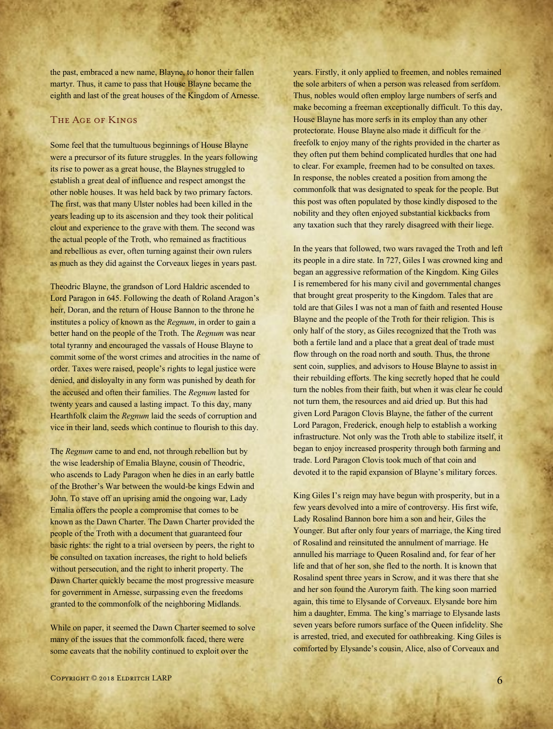the past, embraced a new name, Blayne, to honor their fallen martyr. Thus, it came to pass that House Blayne became the eighth and last of the great houses of the Kingdom of Arnesse.

## The Age of Kings

Some feel that the tumultuous beginnings of House Blayne were a precursor of its future struggles. In the years following its rise to power as a great house, the Blaynes struggled to establish a great deal of influence and respect amongst the other noble houses. It was held back by two primary factors. The first, was that many Ulster nobles had been killed in the years leading up to its ascension and they took their political clout and experience to the grave with them. The second was the actual people of the Troth, who remained as fractitious and rebellious as ever, often turning against their own rulers as much as they did against the Corveaux lieges in years past.

Theodric Blayne, the grandson of Lord Haldric ascended to Lord Paragon in 645. Following the death of Roland Aragon's heir, Doran, and the return of House Bannon to the throne he institutes a policy of known as the *Regnum*, in order to gain a better hand on the people of the Troth. The *Regnum* was near total tyranny and encouraged the vassals of House Blayne to commit some of the worst crimes and atrocities in the name of order. Taxes were raised, people's rights to legal justice were denied, and disloyalty in any form was punished by death for the accused and often their families. The *Regnum* lasted for twenty years and caused a lasting impact. To this day, many Hearthfolk claim the *Regnum* laid the seeds of corruption and vice in their land, seeds which continue to flourish to this day.

The *Regnum* came to and end, not through rebellion but by the wise leadership of Emalia Blayne, cousin of Theodric, who ascends to Lady Paragon when he dies in an early battle of the Brother's War between the would-be kings Edwin and John. To stave off an uprising amid the ongoing war, Lady Emalia offers the people a compromise that comes to be known as the Dawn Charter. The Dawn Charter provided the people of the Troth with a document that guaranteed four basic rights: the right to a trial overseen by peers, the right to be consulted on taxation increases, the right to hold beliefs without persecution, and the right to inherit property. The Dawn Charter quickly became the most progressive measure for government in Arnesse, surpassing even the freedoms granted to the commonfolk of the neighboring Midlands.

While on paper, it seemed the Dawn Charter seemed to solve many of the issues that the commonfolk faced, there were some caveats that the nobility continued to exploit over the

years. Firstly, it only applied to freemen, and nobles remained the sole arbiters of when a person was released from serfdom. Thus, nobles would often employ large numbers of serfs and make becoming a freeman exceptionally difficult. To this day, House Blayne has more serfs in its employ than any other protectorate. House Blayne also made it difficult for the freefolk to enjoy many of the rights provided in the charter as they often put them behind complicated hurdles that one had to clear. For example, freemen had to be consulted on taxes. In response, the nobles created a position from among the commonfolk that was designated to speak for the people. But this post was often populated by those kindly disposed to the nobility and they often enjoyed substantial kickbacks from any taxation such that they rarely disagreed with their liege.

In the years that followed, two wars ravaged the Troth and left its people in a dire state. In 727, Giles I was crowned king and began an aggressive reformation of the Kingdom. King Giles I is remembered for his many civil and governmental changes that brought great prosperity to the Kingdom. Tales that are told are that Giles I was not a man of faith and resented House Blayne and the people of the Troth for their religion. This is only half of the story, as Giles recognized that the Troth was both a fertile land and a place that a great deal of trade must flow through on the road north and south. Thus, the throne sent coin, supplies, and advisors to House Blayne to assist in their rebuilding efforts. The king secretly hoped that he could turn the nobles from their faith, but when it was clear he could not turn them, the resources and aid dried up. But this had given Lord Paragon Clovis Blayne, the father of the current Lord Paragon, Frederick, enough help to establish a working infrastructure. Not only was the Troth able to stabilize itself, it began to enjoy increased prosperity through both farming and trade. Lord Paragon Clovis took much of that coin and devoted it to the rapid expansion of Blayne's military forces.

King Giles I's reign may have begun with prosperity, but in a few years devolved into a mire of controversy. His first wife, Lady Rosalind Bannon bore him a son and heir, Giles the Younger. But after only four years of marriage, the King tired of Rosalind and reinsituted the annulment of marriage. He annulled his marriage to Queen Rosalind and, for fear of her life and that of her son, she fled to the north. It is known that Rosalind spent three years in Scrow, and it was there that she and her son found the Aurorym faith. The king soon married again, this time to Elysande of Corveaux. Elysande bore him him a daughter, Emma. The king's marriage to Elysande lasts seven years before rumors surface of the Queen infidelity. She is arrested, tried, and executed for oathbreaking. King Giles is comforted by Elysande's cousin, Alice, also of Corveaux and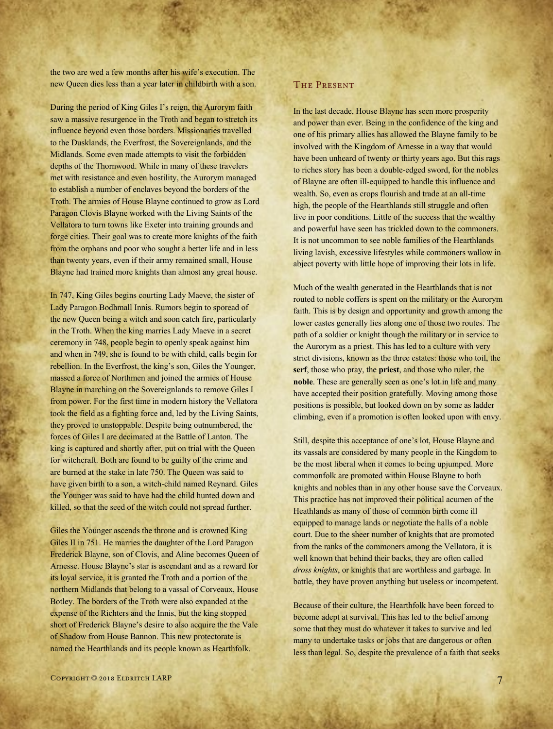the two are wed a few months after his wife's execution. The new Queen dies less than a year later in childbirth with a son.

During the period of King Giles I's reign, the Aurorym faith saw a massive resurgence in the Troth and began to stretch its influence beyond even those borders. Missionaries travelled to the Dusklands, the Everfrost, the Sovereignlands, and the Midlands. Some even made attempts to visit the forbidden depths of the Thornwood. While in many of these travelers met with resistance and even hostility, the Aurorym managed to establish a number of enclaves beyond the borders of the Troth. The armies of House Blayne continued to grow as Lord Paragon Clovis Blayne worked with the Living Saints of the Vellatora to turn towns like Exeter into training grounds and forge cities. Their goal was to create more knights of the faith from the orphans and poor who sought a better life and in less than twenty years, even if their army remained small, House Blayne had trained more knights than almost any great house.

In 747, King Giles begins courting Lady Maeve, the sister of Lady Paragon Bodhmall Innis. Rumors begin to sporead of the new Queen being a witch and soon catch fire, particularly in the Troth. When the king marries Lady Maeve in a secret ceremony in 748, people begin to openly speak against him and when in 749, she is found to be with child, calls begin for rebellion. In the Everfrost, the king's son, Giles the Younger, massed a force of Northmen and joined the armies of House Blayne in marching on the Sovereignlands to remove Giles I from power. For the first time in modern history the Vellatora took the field as a fighting force and, led by the Living Saints, they proved to unstoppable. Despite being outnumbered, the forces of Giles I are decimated at the Battle of Lanton. The king is captured and shortly after, put on trial with the Queen for witchcraft. Both are found to be guilty of the crime and are burned at the stake in late 750. The Queen was said to have given birth to a son, a witch-child named Reynard. Giles the Younger was said to have had the child hunted down and killed, so that the seed of the witch could not spread further.

Giles the Younger ascends the throne and is crowned King Giles II in 751. He marries the daughter of the Lord Paragon Frederick Blayne, son of Clovis, and Aline becomes Queen of Arnesse. House Blayne's star is ascendant and as a reward for its loyal service, it is granted the Troth and a portion of the northern Midlands that belong to a vassal of Corveaux, House Botley. The borders of the Troth were also expanded at the expense of the Richters and the Innis, but the king stopped short of Frederick Blayne's desire to also acquire the the Vale of Shadow from House Bannon. This new protectorate is named the Hearthlands and its people known as Hearthfolk.

In the last decade, House Blayne has seen more prosperity and power than ever. Being in the confidence of the king and one of his primary allies has allowed the Blayne family to be involved with the Kingdom of Arnesse in a way that would have been unheard of twenty or thirty years ago. But this rags to riches story has been a double-edged sword, for the nobles of Blayne are often ill-equipped to handle this influence and wealth. So, even as crops flourish and trade at an all-time high, the people of the Hearthlands still struggle and often live in poor conditions. Little of the success that the wealthy and powerful have seen has trickled down to the commoners. It is not uncommon to see noble families of the Hearthlands living lavish, excessive lifestyles while commoners wallow in abject poverty with little hope of improving their lots in life.

Much of the wealth generated in the Hearthlands that is not routed to noble coffers is spent on the military or the Aurorym faith. This is by design and opportunity and growth among the lower castes generally lies along one of those two routes. The path of a soldier or knight though the military or in service to the Aurorym as a priest. This has led to a culture with very strict divisions, known as the three estates: those who toil, the **serf**, those who pray, the **priest**, and those who ruler, the **noble**. These are generally seen as one's lot in life and many have accepted their position gratefully. Moving among those positions is possible, but looked down on by some as ladder climbing, even if a promotion is often looked upon with envy.

Still, despite this acceptance of one's lot, House Blayne and its vassals are considered by many people in the Kingdom to be the most liberal when it comes to being upjumped. More commonfolk are promoted within House Blayne to both knights and nobles than in any other house save the Corveaux. This practice has not improved their political acumen of the Heathlands as many of those of common birth come ill equipped to manage lands or negotiate the halls of a noble court. Due to the sheer number of knights that are promoted from the ranks of the commoners among the Vellatora, it is well known that behind their backs, they are often called *dross knights*, or knights that are worthless and garbage. In battle, they have proven anything but useless or incompetent.

Because of their culture, the Hearthfolk have been forced to become adept at survival. This has led to the belief among some that they must do whatever it takes to survive and led many to undertake tasks or jobs that are dangerous or often less than legal. So, despite the prevalence of a faith that seeks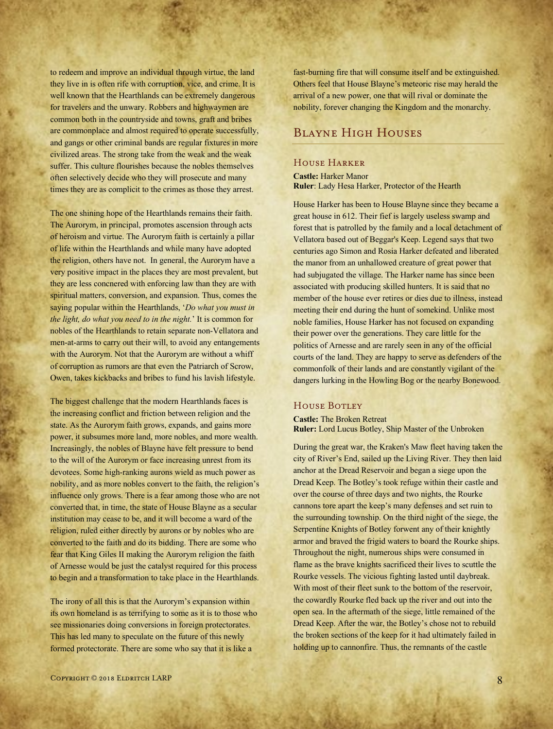to redeem and improve an individual through virtue, the land they live in is often rife with corruption, vice, and crime. It is well known that the Hearthlands can be extremely dangerous for travelers and the unwary. Robbers and highwaymen are common both in the countryside and towns, graft and bribes are commonplace and almost required to operate successfully, and gangs or other criminal bands are regular fixtures in more civilized areas. The strong take from the weak and the weak suffer. This culture flourishes because the nobles themselves often selectively decide who they will prosecute and many times they are as complicit to the crimes as those they arrest.

The one shining hope of the Hearthlands remains their faith. The Aurorym, in principal, promotes ascension through acts of heroism and virtue. The Aurorym faith is certainly a pillar of life within the Hearthlands and while many have adopted the religion, others have not. In general, the Aurorym have a very positive impact in the places they are most prevalent, but they are less concnered with enforcing law than they are with spiritual matters, conversion, and expansion. Thus, comes the saying popular within the Hearthlands, '*Do what you must in the light, do what you need to in the night.*' It is common for nobles of the Hearthlands to retain separate non-Vellatora and men-at-arms to carry out their will, to avoid any entangements with the Aurorym. Not that the Aurorym are without a whiff of corruption as rumors are that even the Patriarch of Scrow, Owen, takes kickbacks and bribes to fund his lavish lifestyle.

The biggest challenge that the modern Hearthlands faces is the increasing conflict and friction between religion and the state. As the Aurorym faith grows, expands, and gains more power, it subsumes more land, more nobles, and more wealth. Increasingly, the nobles of Blayne have felt pressure to bend to the will of the Aurorym or face increasing unrest from its devotees. Some high-ranking aurons wield as much power as nobility, and as more nobles convert to the faith, the religion's influence only grows. There is a fear among those who are not converted that, in time, the state of House Blayne as a secular institution may cease to be, and it will become a ward of the religion, ruled either directly by aurons or by nobles who are converted to the faith and do its bidding. There are some who fear that King Giles II making the Aurorym religion the faith of Arnesse would be just the catalyst required for this process to begin and a transformation to take place in the Hearthlands.

The irony of all this is that the Aurorym's expansion within its own homeland is as terrifying to some as it is to those who see missionaries doing conversions in foreign protectorates. This has led many to speculate on the future of this newly formed protectorate. There are some who say that it is like a

fast-burning fire that will consume itself and be extinguished. Others feel that House Blayne's meteoric rise may herald the arrival of a new power, one that will rival or dominate the nobility, forever changing the Kingdom and the monarchy.

## Blayne High Houses

## House Harker

**Castle:** Harker Manor **Ruler**: Lady Hesa Harker, Protector of the Hearth

House Harker has been to House Blayne since they became a great house in 612. Their fief is largely useless swamp and forest that is patrolled by the family and a local detachment of Vellatora based out of Beggar's Keep. Legend says that two centuries ago Simon and Rosia Harker defeated and liberated the manor from an unhallowed creature of great power that had subjugated the village. The Harker name has since been associated with producing skilled hunters. It is said that no member of the house ever retires or dies due to illness, instead meeting their end during the hunt of somekind. Unlike most noble families, House Harker has not focused on expanding their power over the generations. They care little for the politics of Arnesse and are rarely seen in any of the official courts of the land. They are happy to serve as defenders of the commonfolk of their lands and are constantly vigilant of the dangers lurking in the Howling Bog or the nearby Bonewood.

#### HOUSE BOTLEY

**Castle:** The Broken Retreat **Ruler:** Lord Lucus Botley, Ship Master of the Unbroken

During the great war, the Kraken's Maw fleet having taken the city of River's End, sailed up the Living River. They then laid anchor at the Dread Reservoir and began a siege upon the Dread Keep. The Botley's took refuge within their castle and over the course of three days and two nights, the Rourke cannons tore apart the keep's many defenses and set ruin to the surrounding township. On the third night of the siege, the Serpentine Knights of Botley forwent any of their knightly armor and braved the frigid waters to board the Rourke ships. Throughout the night, numerous ships were consumed in flame as the brave knights sacrificed their lives to scuttle the Rourke vessels. The vicious fighting lasted until daybreak. With most of their fleet sunk to the bottom of the reservoir, the cowardly Rourke fled back up the river and out into the open sea. In the aftermath of the siege, little remained of the Dread Keep. After the war, the Botley's chose not to rebuild the broken sections of the keep for it had ultimately failed in holding up to cannonfire. Thus, the remnants of the castle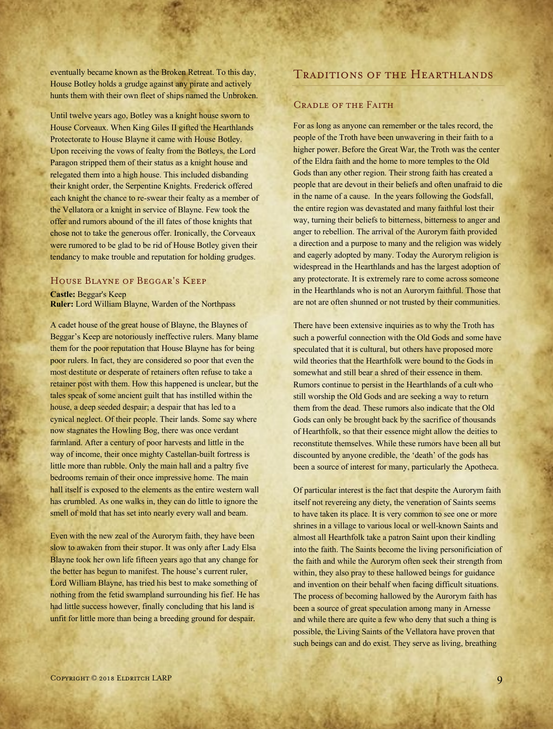eventually became known as the Broken Retreat. To this day, House Botley holds a grudge against any pirate and actively hunts them with their own fleet of ships named the Unbroken.

Until twelve years ago, Botley was a knight house sworn to House Corveaux. When King Giles II gifted the Hearthlands Protectorate to House Blayne it came with House Botley. Upon receiving the vows of fealty from the Botleys, the Lord Paragon stripped them of their status as a knight house and relegated them into a high house. This included disbanding their knight order, the Serpentine Knights. Frederick offered each knight the chance to re-swear their fealty as a member of the Vellatora or a knight in service of Blayne. Few took the offer and rumors abound of the ill fates of those knights that chose not to take the generous offer. Ironically, the Corveaux were rumored to be glad to be rid of House Botley given their tendancy to make trouble and reputation for holding grudges.

## House Blayne of Beggar's Keep

**Castle:** Beggar's Keep **Ruler:** Lord William Blayne, Warden of the Northpass

A cadet house of the great house of Blayne, the Blaynes of Beggar's Keep are notoriously ineffective rulers. Many blame them for the poor reputation that House Blayne has for being poor rulers. In fact, they are considered so poor that even the most destitute or desperate of retainers often refuse to take a retainer post with them. How this happened is unclear, but the tales speak of some ancient guilt that has instilled within the house, a deep seeded despair; a despair that has led to a cynical neglect. Of their people. Their lands. Some say where now stagnates the Howling Bog, there was once verdant farmland. After a century of poor harvests and little in the way of income, their once mighty Castellan-built fortress is little more than rubble. Only the main hall and a paltry five bedrooms remain of their once impressive home. The main hall itself is exposed to the elements as the entire western wall has crumbled. As one walks in, they can do little to ignore the smell of mold that has set into nearly every wall and beam.

Even with the new zeal of the Aurorym faith, they have been slow to awaken from their stupor. It was only after Lady Elsa Blayne took her own life fifteen years ago that any change for the better has begun to manifest. The house's current ruler, Lord William Blayne, has tried his best to make something of nothing from the fetid swampland surrounding his fief. He has had little success however, finally concluding that his land is unfit for little more than being a breeding ground for despair.

Traditions of the Hearthlands

#### Cradle of the Faith

For as long as anyone can remember or the tales record, the people of the Troth have been unwavering in their faith to a higher power. Before the Great War, the Troth was the center of the Eldra faith and the home to more temples to the Old Gods than any other region. Their strong faith has created a people that are devout in their beliefs and often unafraid to die in the name of a cause. In the years following the Godsfall, the entire region was devastated and many faithful lost their way, turning their beliefs to bitterness, bitterness to anger and anger to rebellion. The arrival of the Aurorym faith provided a direction and a purpose to many and the religion was widely and eagerly adopted by many. Today the Aurorym religion is widespread in the Hearthlands and has the largest adoption of any protectorate. It is extremely rare to come across someone in the Hearthlands who is not an Aurorym faithful. Those that are not are often shunned or not trusted by their communities.

There have been extensive inquiries as to why the Troth has such a powerful connection with the Old Gods and some have speculated that it is cultural, but others have proposed more wild theories that the Hearthfolk were bound to the Gods in somewhat and still bear a shred of their essence in them. Rumors continue to persist in the Hearthlands of a cult who still worship the Old Gods and are seeking a way to return them from the dead. These rumors also indicate that the Old Gods can only be brought back by the sacrifice of thousands of Hearthfolk, so that their essence might allow the deities to reconstitute themselves. While these rumors have been all but discounted by anyone credible, the 'death' of the gods has been a source of interest for many, particularly the Apotheca.

Of particular interest is the fact that despite the Aurorym faith itself not revereing any diety, the veneration of Saints seems to have taken its place. It is very common to see one or more shrines in a village to various local or well-known Saints and almost all Hearthfolk take a patron Saint upon their kindling into the faith. The Saints become the living personificiation of the faith and while the Aurorym often seek their strength from within, they also pray to these hallowed beings for guidance and invention on their behalf when facing difficult situations. The process of becoming hallowed by the Aurorym faith has been a source of great speculation among many in Arnesse and while there are quite a few who deny that such a thing is possible, the Living Saints of the Vellatora have proven that such beings can and do exist. They serve as living, breathing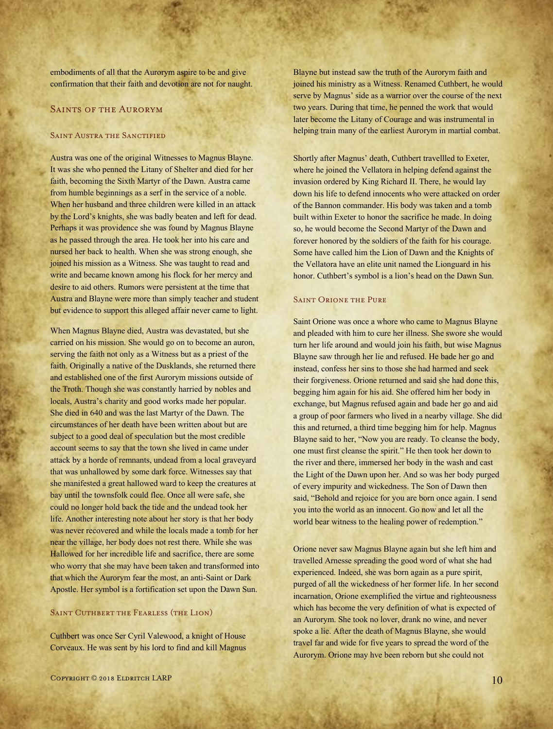embodiments of all that the Aurorym aspire to be and give confirmation that their faith and devotion are not for naught.

#### SAINTS OF THE AURORYM

#### SAINT AUSTRA THE SANCTIFIED

Austra was one of the original Witnesses to Magnus Blayne. It was she who penned the Litany of Shelter and died for her faith, becoming the Sixth Martyr of the Dawn. Austra came from humble beginnings as a serf in the service of a noble. When her husband and three children were killed in an attack by the Lord's knights, she was badly beaten and left for dead. Perhaps it was providence she was found by Magnus Blayne as he passed through the area. He took her into his care and nursed her back to health. When she was strong enough, she joined his mission as a Witness. She was taught to read and write and became known among his flock for her mercy and desire to aid others. Rumors were persistent at the time that Austra and Blayne were more than simply teacher and student but evidence to support this alleged affair never came to light.

When Magnus Blayne died, Austra was devastated, but she carried on his mission. She would go on to become an auron, serving the faith not only as a Witness but as a priest of the faith. Originally a native of the Dusklands, she returned there and established one of the first Aurorym missions outside of the Troth. Though she was constantly harried by nobles and locals, Austra's charity and good works made her popular. She died in 640 and was the last Martyr of the Dawn. The circumstances of her death have been written about but are subject to a good deal of speculation but the most credible account seems to say that the town she lived in came under attack by a horde of remnants, undead from a local graveyard that was unhallowed by some dark force. Witnesses say that she manifested a great hallowed ward to keep the creatures at bay until the townsfolk could flee. Once all were safe, she could no longer hold back the tide and the undead took her life. Another interesting note about her story is that her body was never recovered and while the locals made a tomb for her near the village, her body does not rest there. While she was Hallowed for her incredible life and sacrifice, there are some who worry that she may have been taken and transformed into that which the Aurorym fear the most, an anti-Saint or Dark Apostle. Her symbol is a fortification set upon the Dawn Sun.

## SAINT CUTHBERT THE FEARLESS (THE LION)

Cuthbert was once Ser Cyril Valewood, a knight of House Corveaux. He was sent by his lord to find and kill Magnus Blayne but instead saw the truth of the Aurorym faith and joined his ministry as a Witness. Renamed Cuthbert, he would serve by Magnus' side as a warrior over the course of the next two years. During that time, he penned the work that would later become the Litany of Courage and was instrumental in helping train many of the earliest Aurorym in martial combat.

Shortly after Magnus' death, Cuthbert travellled to Exeter, where he joined the Vellatora in helping defend against the invasion ordered by King Richard II. There, he would lay down his life to defend innocents who were attacked on order of the Bannon commander. His body was taken and a tomb built within Exeter to honor the sacrifice he made. In doing so, he would become the Second Martyr of the Dawn and forever honored by the soldiers of the faith for his courage. Some have called him the Lion of Dawn and the Knights of the Vellatora have an elite unit named the Lionguard in his honor. Cuthbert's symbol is a lion's head on the Dawn Sun.

#### Saint Orione the Pure

Saint Orione was once a whore who came to Magnus Blayne and pleaded with him to cure her illness. She swore she would turn her life around and would join his faith, but wise Magnus Blayne saw through her lie and refused. He bade her go and instead, confess her sins to those she had harmed and seek their forgiveness. Orione returned and said she had done this, begging him again for his aid. She offered him her body in exchange, but Magnus refused again and bade her go and aid a group of poor farmers who lived in a nearby village. She did this and returned, a third time begging him for help. Magnus Blayne said to her, "Now you are ready. To cleanse the body, one must first cleanse the spirit." He then took her down to the river and there, immersed her body in the wash and cast the Light of the Dawn upon her. And so was her body purged of every impurity and wickedness. The Son of Dawn then said, "Behold and rejoice for you are born once again. I send you into the world as an innocent. Go now and let all the world bear witness to the healing power of redemption."

Orione never saw Magnus Blayne again but she left him and travelled Arnesse spreading the good word of what she had experienced. Indeed, she was born again as a pure spirit, purged of all the wickedness of her former life. In her second incarnation, Orione exemplified the virtue and righteousness which has become the very definition of what is expected of an Aurorym. She took no lover, drank no wine, and never spoke a lie. After the death of Magnus Blayne, she would travel far and wide for five years to spread the word of the Aurorym. Orione may hve been reborn but she could not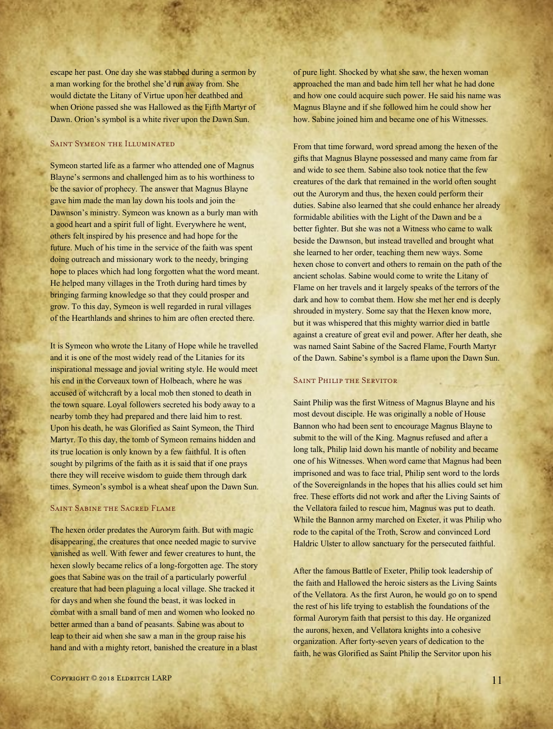escape her past. One day she was stabbed during a sermon by a man working for the brothel she'd run away from. She would dictate the Litany of Virtue upon her deathbed and when Orione passed she was Hallowed as the Fifth Martyr of Dawn. Orion's symbol is a white river upon the Dawn Sun.

#### SAINT SYMEON THE ILLUMINATED

Symeon started life as a farmer who attended one of Magnus Blayne's sermons and challenged him as to his worthiness to be the savior of prophecy. The answer that Magnus Blayne gave him made the man lay down his tools and join the Dawnson's ministry. Symeon was known as a burly man with a good heart and a spirit full of light. Everywhere he went, others felt inspired by his presence and had hope for the future. Much of his time in the service of the faith was spent doing outreach and missionary work to the needy, bringing hope to places which had long forgotten what the word meant. He helped many villages in the Troth during hard times by bringing farming knowledge so that they could prosper and grow. To this day, Symeon is well regarded in rural villages of the Hearthlands and shrines to him are often erected there.

It is Symeon who wrote the Litany of Hope while he travelled and it is one of the most widely read of the Litanies for its inspirational message and jovial writing style. He would meet his end in the Corveaux town of Holbeach, where he was accused of witchcraft by a local mob then stoned to death in the town square. Loyal followers secreted his body away to a nearby tomb they had prepared and there laid him to rest. Upon his death, he was Glorified as Saint Symeon, the Third Martyr. To this day, the tomb of Symeon remains hidden and its true location is only known by a few faithful. It is often sought by pilgrims of the faith as it is said that if one prays there they will receive wisdom to guide them through dark times. Symeon's symbol is a wheat sheaf upon the Dawn Sun.

#### Saint Sabine the Sacred Flame

The hexen order predates the Aurorym faith. But with magic disappearing, the creatures that once needed magic to survive vanished as well. With fewer and fewer creatures to hunt, the hexen slowly became relics of a long-forgotten age. The story goes that Sabine was on the trail of a particularly powerful creature that had been plaguing a local village. She tracked it for days and when she found the beast, it was locked in combat with a small band of men and women who looked no better armed than a band of peasants. Sabine was about to leap to their aid when she saw a man in the group raise his hand and with a mighty retort, banished the creature in a blast of pure light. Shocked by what she saw, the hexen woman approached the man and bade him tell her what he had done and how one could acquire such power. He said his name was Magnus Blayne and if she followed him he could show her how. Sabine joined him and became one of his Witnesses.

From that time forward, word spread among the hexen of the gifts that Magnus Blayne possessed and many came from far and wide to see them. Sabine also took notice that the few creatures of the dark that remained in the world often sought out the Aurorym and thus, the hexen could perform their duties. Sabine also learned that she could enhance her already formidable abilities with the Light of the Dawn and be a better fighter. But she was not a Witness who came to walk beside the Dawnson, but instead travelled and brought what she learned to her order, teaching them new ways. Some hexen chose to convert and others to remain on the path of the ancient scholas. Sabine would come to write the Litany of Flame on her travels and it largely speaks of the terrors of the dark and how to combat them. How she met her end is deeply shrouded in mystery. Some say that the Hexen know more, but it was whispered that this mighty warrior died in battle against a creature of great evil and power. After her death, she was named Saint Sabine of the Sacred Flame, Fourth Martyr of the Dawn. Sabine's symbol is a flame upon the Dawn Sun.

#### SAINT PHILIP THE SERVITOR

Saint Philip was the first Witness of Magnus Blayne and his most devout disciple. He was originally a noble of House Bannon who had been sent to encourage Magnus Blayne to submit to the will of the King. Magnus refused and after a long talk, Philip laid down his mantle of nobility and became one of his Witnesses. When word came that Magnus had been imprisoned and was to face trial, Philip sent word to the lords of the Sovereignlands in the hopes that his allies could set him free. These efforts did not work and after the Living Saints of the Vellatora failed to rescue him, Magnus was put to death. While the Bannon army marched on Exeter, it was Philip who rode to the capital of the Troth, Scrow and convinced Lord Haldric Ulster to allow sanctuary for the persecuted faithful.

After the famous Battle of Exeter, Philip took leadership of the faith and Hallowed the heroic sisters as the Living Saints of the Vellatora. As the first Auron, he would go on to spend the rest of his life trying to establish the foundations of the formal Aurorym faith that persist to this day. He organized the aurons, hexen, and Vellatora knights into a cohesive organization. After forty-seven years of dedication to the faith, he was Glorified as Saint Philip the Servitor upon his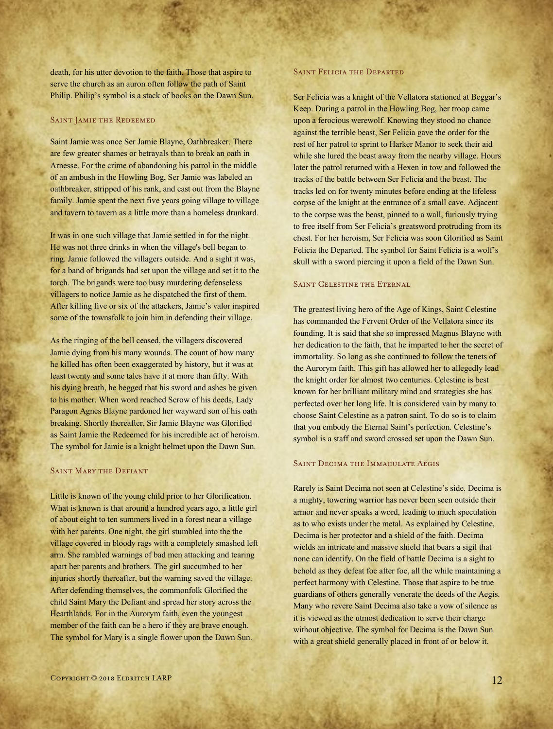death, for his utter devotion to the faith. Those that aspire to serve the church as an auron often follow the path of Saint Philip. Philip's symbol is a stack of books on the Dawn Sun.

#### SAINT JAMIE THE REDEEMED

Saint Jamie was once Ser Jamie Blayne, Oathbreaker. There are few greater shames or betrayals than to break an oath in Arnesse. For the crime of abandoning his patrol in the middle of an ambush in the Howling Bog, Ser Jamie was labeled an oathbreaker, stripped of his rank, and cast out from the Blayne family. Jamie spent the next five years going village to village and tavern to tavern as a little more than a homeless drunkard.

It was in one such village that Jamie settled in for the night. He was not three drinks in when the village's bell began to ring. Jamie followed the villagers outside. And a sight it was, for a band of brigands had set upon the village and set it to the torch. The brigands were too busy murdering defenseless villagers to notice Jamie as he dispatched the first of them. After killing five or six of the attackers, Jamie's valor inspired some of the townsfolk to join him in defending their village.

As the ringing of the bell ceased, the villagers discovered Jamie dying from his many wounds. The count of how many he killed has often been exaggerated by history, but it was at least twenty and some tales have it at more than fifty. With his dying breath, he begged that his sword and ashes be given to his mother. When word reached Scrow of his deeds, Lady Paragon Agnes Blayne pardoned her wayward son of his oath breaking. Shortly thereafter, Sir Jamie Blayne was Glorified as Saint Jamie the Redeemed for his incredible act of heroism. The symbol for Jamie is a knight helmet upon the Dawn Sun.

## Saint Mary the Defiant

Little is known of the young child prior to her Glorification. What is known is that around a hundred years ago, a little girl of about eight to ten summers lived in a forest near a village with her parents. One night, the girl stumbled into the the village covered in bloody rags with a completely smashed left arm. She rambled warnings of bad men attacking and tearing apart her parents and brothers. The girl succumbed to her injuries shortly thereafter, but the warning saved the village. After defending themselves, the commonfolk Glorified the child Saint Mary the Defiant and spread her story across the Hearthlands. For in the Aurorym faith, even the youngest member of the faith can be a hero if they are brave enough. The symbol for Mary is a single flower upon the Dawn Sun.

#### SAINT FELICIA THE DEPARTED

Ser Felicia was a knight of the Vellatora stationed at Beggar's Keep. During a patrol in the Howling Bog, her troop came upon a ferocious werewolf. Knowing they stood no chance against the terrible beast, Ser Felicia gave the order for the rest of her patrol to sprint to Harker Manor to seek their aid while she lured the beast away from the nearby village. Hours later the patrol returned with a Hexen in tow and followed the tracks of the battle between Ser Felicia and the beast. The tracks led on for twenty minutes before ending at the lifeless corpse of the knight at the entrance of a small cave. Adjacent to the corpse was the beast, pinned to a wall, furiously trying to free itself from Ser Felicia's greatsword protruding from its chest. For her heroism, Ser Felicia was soon Glorified as Saint Felicia the Departed. The symbol for Saint Felicia is a wolf's skull with a sword piercing it upon a field of the Dawn Sun.

#### SAINT CELESTINE THE ETERNAL

The greatest living hero of the Age of Kings, Saint Celestine has commanded the Fervent Order of the Vellatora since its founding. It is said that she so impressed Magnus Blayne with her dedication to the faith, that he imparted to her the secret of immortality. So long as she continued to follow the tenets of the Aurorym faith. This gift has allowed her to allegedly lead the knight order for almost two centuries. Celestine is best known for her brilliant military mind and strategies she has perfected over her long life. It is considered vain by many to choose Saint Celestine as a patron saint. To do so is to claim that you embody the Eternal Saint's perfection. Celestine's symbol is a staff and sword crossed set upon the Dawn Sun.

#### SAINT DECIMA THE IMMACULATE AEGIS

Rarely is Saint Decima not seen at Celestine's side. Decima is a mighty, towering warrior has never been seen outside their armor and never speaks a word, leading to much speculation as to who exists under the metal. As explained by Celestine, Decima is her protector and a shield of the faith. Decima wields an intricate and massive shield that bears a sigil that none can identify. On the field of battle Decima is a sight to behold as they defeat foe after foe, all the while maintaining a perfect harmony with Celestine. Those that aspire to be true guardians of others generally venerate the deeds of the Aegis. Many who revere Saint Decima also take a vow of silence as it is viewed as the utmost dedication to serve their charge without objective. The symbol for Decima is the Dawn Sun with a great shield generally placed in front of or below it.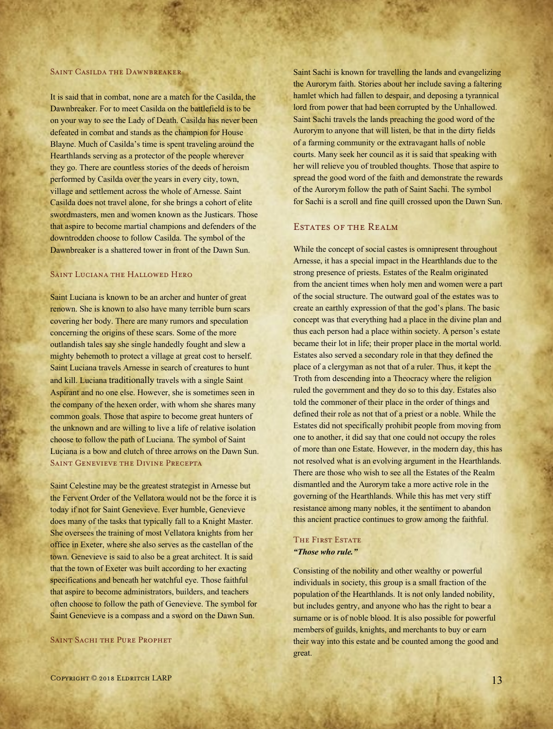#### SAINT CASILDA THE DAWNBREAKER

It is said that in combat, none are a match for the Casilda, the Dawnbreaker. For to meet Casilda on the battlefield is to be on your way to see the Lady of Death. Casilda has never been defeated in combat and stands as the champion for House Blayne. Much of Casilda's time is spent traveling around the Hearthlands serving as a protector of the people wherever they go. There are countless stories of the deeds of heroism performed by Casilda over the years in every city, town, village and settlement across the whole of Arnesse. Saint Casilda does not travel alone, for she brings a cohort of elite swordmasters, men and women known as the Justicars. Those that aspire to become martial champions and defenders of the downtrodden choose to follow Casilda. The symbol of the Dawnbreaker is a shattered tower in front of the Dawn Sun.

#### SAINT LUCIANA THE HALLOWED HERO

Saint Luciana is known to be an archer and hunter of great renown. She is known to also have many terrible burn scars covering her body. There are many rumors and speculation concerning the origins of these scars. Some of the more outlandish tales say she single handedly fought and slew a mighty behemoth to protect a village at great cost to herself. Saint Luciana travels Arnesse in search of creatures to hunt and kill. Luciana traditionally travels with a single Saint Aspirant and no one else. However, she is sometimes seen in the company of the hexen order, with whom she shares many common goals. Those that aspire to become great hunters of the unknown and are willing to live a life of relative isolation choose to follow the path of Luciana. The symbol of Saint Luciana is a bow and clutch of three arrows on the Dawn Sun. SAINT GENEVIEVE THE DIVINE PRECEPTA

Saint Celestine may be the greatest strategist in Arnesse but the Fervent Order of the Vellatora would not be the force it is today if not for Saint Genevieve. Ever humble, Genevieve does many of the tasks that typically fall to a Knight Master. She oversees the training of most Vellatora knights from her office in Exeter, where she also serves as the castellan of the town. Genevieve is said to also be a great architect. It is said that the town of Exeter was built according to her exacting specifications and beneath her watchful eye. Those faithful that aspire to become administrators, builders, and teachers often choose to follow the path of Genevieve. The symbol for Saint Genevieve is a compass and a sword on the Dawn Sun.

#### SAINT SACHI THE PURE PROPHET

Saint Sachi is known for travelling the lands and evangelizing the Aurorym faith. Stories about her include saving a faltering hamlet which had fallen to despair, and deposing a tyrannical lord from power that had been corrupted by the Unhallowed. Saint Sachi travels the lands preaching the good word of the Aurorym to anyone that will listen, be that in the dirty fields of a farming community or the extravagant halls of noble courts. Many seek her council as it is said that speaking with her will relieve you of troubled thoughts. Those that aspire to spread the good word of the faith and demonstrate the rewards of the Aurorym follow the path of Saint Sachi. The symbol for Sachi is a scroll and fine quill crossed upon the Dawn Sun.

### Estates of the Realm

While the concept of social castes is omnipresent throughout Arnesse, it has a special impact in the Hearthlands due to the strong presence of priests. Estates of the Realm originated from the ancient times when holy men and women were a part of the social structure. The outward goal of the estates was to create an earthly expression of that the god's plans. The basic concept was that everything had a place in the divine plan and thus each person had a place within society. A person's estate became their lot in life; their proper place in the mortal world. Estates also served a secondary role in that they defined the place of a clergyman as not that of a ruler. Thus, it kept the Troth from descending into a Theocracy where the religion ruled the government and they do so to this day. Estates also told the commoner of their place in the order of things and defined their role as not that of a priest or a noble. While the Estates did not specifically prohibit people from moving from one to another, it did say that one could not occupy the roles of more than one Estate. However, in the modern day, this has not resolved what is an evolving argument in the Hearthlands. There are those who wish to see all the Estates of the Realm dismantled and the Aurorym take a more active role in the governing of the Hearthlands. While this has met very stiff resistance among many nobles, it the sentiment to abandon this ancient practice continues to grow among the faithful.

## THE FIRST ESTATE *"Those who rule."*

Consisting of the nobility and other wealthy or powerful individuals in society, this group is a small fraction of the population of the Hearthlands. It is not only landed nobility, but includes gentry, and anyone who has the right to bear a surname or is of noble blood. It is also possible for powerful members of guilds, knights, and merchants to buy or earn their way into this estate and be counted among the good and great.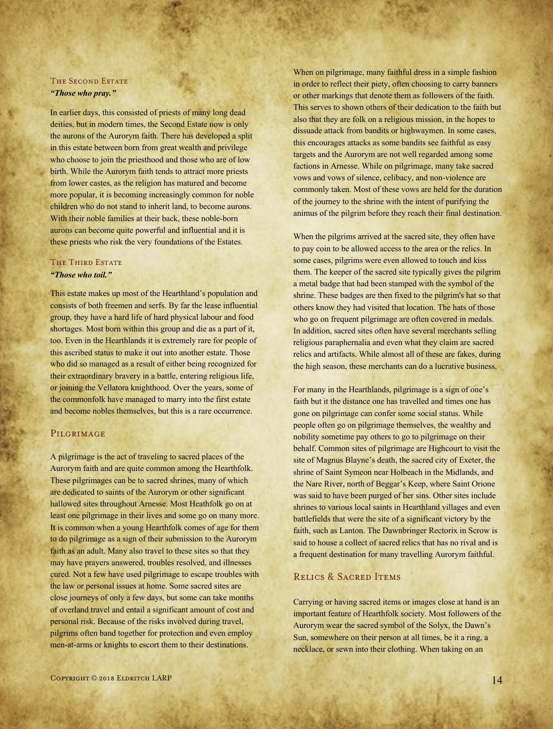## THE SECOND ESTATE *"Those who pray."*

In earlier days, this consisted of priests of many long dead deities, but in modern times, the Second Estate now is only the aurons of the Aurorym faith. There has developed a split in this estate between born from great wealth and privilege who choose to join the priesthood and those who are of low birth. While the Aurorym faith tends to attract more priests from lower castes, as the religion has matured and become more popular, it is becoming increasingly common for noble children who do not stand to inherit land, to become aurons. With their noble families at their back, these noble-born aurons can become quite powerful and influential and it is these priests who risk the very foundations of the Estates.

## THE THIRD ESTATE *"Those who toil."*

This estate makes up most of the Hearthland's population and consists of both freemen and serfs. By far the lease influential group, they have a hard life of hard physical labour and food shortages. Most born within this group and die as a part of it, too. Even in the Hearthlands it is extremely rare for people of this ascribed status to make it out into another estate. Those who did so managed as a result of either being recognized for their extraordinary bravery in a battle, entering religious life, or joining the Vellatora knighthood. Over the years, some of the commonfolk have managed to marry into the first estate and become nobles themselves, but this is a rare occurrence.

## **PILGRIMAGE**

A pilgrimage is the act of traveling to sacred places of the Aurorym faith and are quite common among the Hearthfolk. These pilgrimages can be to sacred shrines, many of which are dedicated to saints of the Aurorym or other significant hallowed sites throughout Arnesse. Most Heathfolk go on at least one pilgrimage in their lives and some go on many more. It is common when a young Hearthfolk comes of age for them to do pilgrimage as a sign of their submission to the Aurorym faith as an adult. Many also travel to these sites so that they may have prayers answered, troubles resolved, and illnesses cured. Not a few have used pilgrimage to escape troubles with the law or personal issues at home. Some sacred sites are close journeys of only a few days, but some can take months of overland travel and entail a significant amount of cost and personal risk. Because of the risks involved during travel, pilgrims often band together for protection and even employ men-at-arms or knights to escort them to their destinations.

When on pilgrimage, many faithful dress in a simple fashion in order to reflect their piety, often choosing to carry banners or other markings that denote them as followers of the faith. This serves to shown others of their dedication to the faith but also that they are folk on a religious mission, in the hopes to dissuade attack from bandits or highwaymen. In some cases, this encourages attacks as some bandits see faithful as easy targets and the Aurorym are not well regarded among some factions in Arnesse. While on pilgrimage, many take sacred vows and vows of silence, celibacy, and non-violence are commonly taken. Most of these vows are held for the duration of the journey to the shrine with the intent of purifying the animus of the pilgrim before they reach their final destination.

When the pilgrims arrived at the sacred site, they often have to pay coin to be allowed access to the area or the relics. In some cases, pilgrims were even allowed to touch and kiss them. The keeper of the sacred site typically gives the pilgrim a metal badge that had been stamped with the symbol of the shrine. These badges are then fixed to the pilgrim's hat so that others know they had visited that location. The hats of those who go on frequent pilgrimage are often covered in medals. In addition, sacred sites often have several merchants selling religious paraphernalia and even what they claim are sacred relics and artifacts. While almost all of these are fakes, during the high season, these merchants can do a lucrative business.

For many in the Hearthlands, pilgrimage is a sign of one's faith but it the distance one has travelled and times one has gone on pilgrimage can confer some social status. While people often go on pilgrimage themselves, the wealthy and nobility sometime pay others to go to pilgrimage on their behalf. Common sites of pilgrimage are Highcourt to visit the site of Magnus Blayne's death, the sacred city of Exeter, the shrine of Saint Symeon near Holbeach in the Midlands, and the Nare River, north of Beggar's Keep, where Saint Orione was said to have been purged of her sins. Other sites include shrines to various local saints in Hearthland villages and even battlefields that were the site of a significant victory by the faith, such as Lanton. The Dawnbringer Rectorix in Scrow is said to house a collect of sacred relics that has no rival and is a frequent destination for many travelling Aurorym faithful.

## Relics & Sacred Items

Carrying or having sacred items or images close at hand is an important feature of Hearthfolk society. Most followers of the Aurorym wear the sacred symbol of the Solyx, the Dawn's Sun, somewhere on their person at all times, be it a ring, a necklace, or sewn into their clothing. When taking on an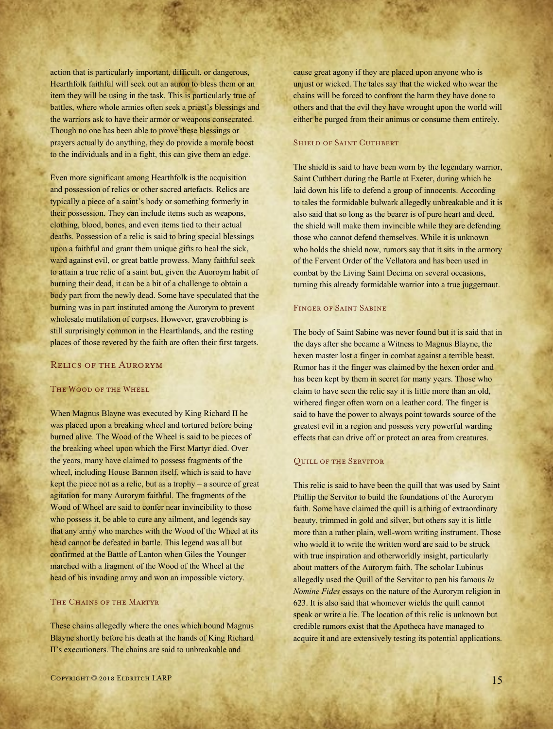action that is particularly important, difficult, or dangerous, Hearthfolk faithful will seek out an auron to bless them or an item they will be using in the task. This is particularly true of battles, where whole armies often seek a priest's blessings and the warriors ask to have their armor or weapons consecrated. Though no one has been able to prove these blessings or prayers actually do anything, they do provide a morale boost to the individuals and in a fight, this can give them an edge.

Even more significant among Hearthfolk is the acquisition and possession of relics or other sacred artefacts. Relics are typically a piece of a saint's body or something formerly in their possession. They can include items such as weapons, clothing, blood, bones, and even items tied to their actual deaths. Possession of a relic is said to bring special blessings upon a faithful and grant them unique gifts to heal the sick, ward against evil, or great battle prowess. Many faithful seek to attain a true relic of a saint but, given the Auoroym habit of burning their dead, it can be a bit of a challenge to obtain a body part from the newly dead. Some have speculated that the burning was in part instituted among the Aurorym to prevent wholesale mutilation of corpses. However, graverobbing is still surprisingly common in the Hearthlands, and the resting places of those revered by the faith are often their first targets.

## Relics of the Aurorym

#### The Wood of the Wheel

When Magnus Blayne was executed by King Richard II he was placed upon a breaking wheel and tortured before being burned alive. The Wood of the Wheel is said to be pieces of the breaking wheel upon which the First Martyr died. Over the years, many have claimed to possess fragments of the wheel, including House Bannon itself, which is said to have kept the piece not as a relic, but as a trophy – a source of great agitation for many Aurorym faithful. The fragments of the Wood of Wheel are said to confer near invincibility to those who possess it, be able to cure any ailment, and legends say that any army who marches with the Wood of the Wheel at its head cannot be defeated in battle. This legend was all but confirmed at the Battle of Lanton when Giles the Younger marched with a fragment of the Wood of the Wheel at the head of his invading army and won an impossible victory.

## THE CHAINS OF THE MARTYR

These chains allegedly where the ones which bound Magnus Blayne shortly before his death at the hands of King Richard II's executioners. The chains are said to unbreakable and

cause great agony if they are placed upon anyone who is unjust or wicked. The tales say that the wicked who wear the chains will be forced to confront the harm they have done to others and that the evil they have wrought upon the world will either be purged from their animus or consume them entirely.

#### SHIELD OF SAINT CUTHBERT

The shield is said to have been worn by the legendary warrior, Saint Cuthbert during the Battle at Exeter, during which he laid down his life to defend a group of innocents. According to tales the formidable bulwark allegedly unbreakable and it is also said that so long as the bearer is of pure heart and deed, the shield will make them invincible while they are defending those who cannot defend themselves. While it is unknown who holds the shield now, rumors say that it sits in the armory of the Fervent Order of the Vellatora and has been used in combat by the Living Saint Decima on several occasions, turning this already formidable warrior into a true juggernaut.

#### Finger of Saint Sabine

The body of Saint Sabine was never found but it is said that in the days after she became a Witness to Magnus Blayne, the hexen master lost a finger in combat against a terrible beast. Rumor has it the finger was claimed by the hexen order and has been kept by them in secret for many years. Those who claim to have seen the relic say it is little more than an old, withered finger often worn on a leather cord. The finger is said to have the power to always point towards source of the greatest evil in a region and possess very powerful warding effects that can drive off or protect an area from creatures.

#### Quill of the Servitor

This relic is said to have been the quill that was used by Saint Phillip the Servitor to build the foundations of the Aurorym faith. Some have claimed the quill is a thing of extraordinary beauty, trimmed in gold and silver, but others say it is little more than a rather plain, well-worn writing instrument. Those who wield it to write the written word are said to be struck with true inspiration and otherworldly insight, particularly about matters of the Aurorym faith. The scholar Lubinus allegedly used the Quill of the Servitor to pen his famous *In Nomine Fides* essays on the nature of the Aurorym religion in 623. It is also said that whomever wields the quill cannot speak or write a lie. The location of this relic is unknown but credible rumors exist that the Apotheca have managed to acquire it and are extensively testing its potential applications.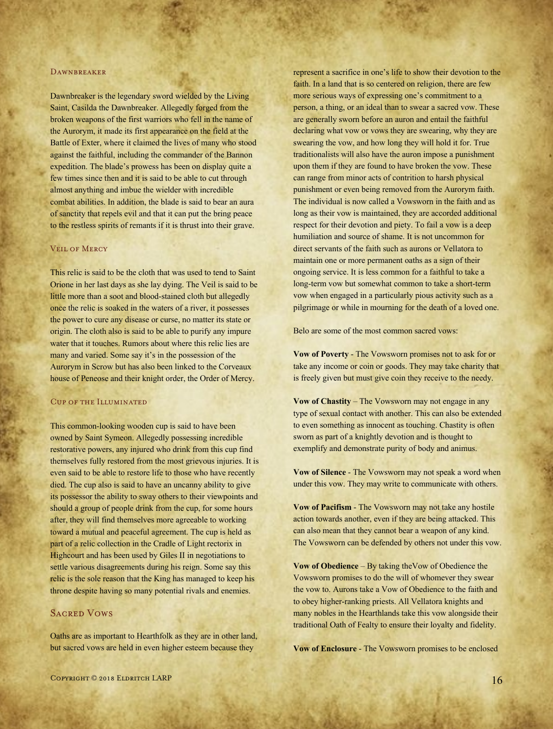#### **DAWNBREAKER**

Dawnbreaker is the legendary sword wielded by the Living Saint, Casilda the Dawnbreaker. Allegedly forged from the broken weapons of the first warriors who fell in the name of the Aurorym, it made its first appearance on the field at the Battle of Exter, where it claimed the lives of many who stood against the faithful, including the commander of the Bannon expedition. The blade's prowess has been on display quite a few times since then and it is said to be able to cut through almost anything and imbue the wielder with incredible combat abilities. In addition, the blade is said to bear an aura of sanctity that repels evil and that it can put the bring peace to the restless spirits of remants if it is thrust into their grave.

#### Veil of Mercy

This relic is said to be the cloth that was used to tend to Saint Orione in her last days as she lay dying. The Veil is said to be little more than a soot and blood-stained cloth but allegedly once the relic is soaked in the waters of a river, it possesses the power to cure any disease or curse, no matter its state or origin. The cloth also is said to be able to purify any impure water that it touches. Rumors about where this relic lies are many and varied. Some say it's in the possession of the Aurorym in Scrow but has also been linked to the Corveaux house of Peneose and their knight order, the Order of Mercy.

## Cup of the Illuminated

This common-looking wooden cup is said to have been owned by Saint Symeon. Allegedly possessing incredible restorative powers, any injured who drink from this cup find themselves fully restored from the most grievous injuries. It is even said to be able to restore life to those who have recently died. The cup also is said to have an uncanny ability to give its possessor the ability to sway others to their viewpoints and should a group of people drink from the cup, for some hours after, they will find themselves more agreeable to working toward a mutual and peaceful agreement. The cup is held as part of a relic collection in the Cradle of Light rectorix in Highcourt and has been used by Giles II in negotiations to settle various disagreements during his reign. Some say this relic is the sole reason that the King has managed to keep his throne despite having so many potential rivals and enemies.

## **SACRED VOWS**

Oaths are as important to Hearthfolk as they are in other land, but sacred vows are held in even higher esteem because they

represent a sacrifice in one's life to show their devotion to the faith. In a land that is so centered on religion, there are few more serious ways of expressing one's commitment to a person, a thing, or an ideal than to swear a sacred vow. These are generally sworn before an auron and entail the faithful declaring what vow or vows they are swearing, why they are swearing the vow, and how long they will hold it for. True traditionalists will also have the auron impose a punishment upon them if they are found to have broken the vow. These can range from minor acts of contrition to harsh physical punishment or even being removed from the Aurorym faith. The individual is now called a Vowsworn in the faith and as long as their vow is maintained, they are accorded additional respect for their devotion and piety. To fail a vow is a deep humiliation and source of shame. It is not uncommon for direct servants of the faith such as aurons or Vellatora to maintain one or more permanent oaths as a sign of their ongoing service. It is less common for a faithful to take a long-term vow but somewhat common to take a short-term vow when engaged in a particularly pious activity such as a pilgrimage or while in mourning for the death of a loved one.

Belo are some of the most common sacred vows:

**Vow of Poverty** - The Vowsworn promises not to ask for or take any income or coin or goods. They may take charity that is freely given but must give coin they receive to the needy.

**Vow of Chastity** – The Vowsworn may not engage in any type of sexual contact with another. This can also be extended to even something as innocent as touching. Chastity is often sworn as part of a knightly devotion and is thought to exemplify and demonstrate purity of body and animus.

**Vow of Silence** - The Vowsworn may not speak a word when under this vow. They may write to communicate with others.

**Vow of Pacifism** - The Vowsworn may not take any hostile action towards another, even if they are being attacked. This can also mean that they cannot bear a weapon of any kind. The Vowsworn can be defended by others not under this vow.

**Vow of Obedience** – By taking theVow of Obedience the Vowsworn promises to do the will of whomever they swear the vow to. Aurons take a Vow of Obedience to the faith and to obey higher-ranking priests. All Vellatora knights and many nobles in the Hearthlands take this vow alongside their traditional Oath of Fealty to ensure their loyalty and fidelity.

**Vow of Enclosure** - The Vowsworn promises to be enclosed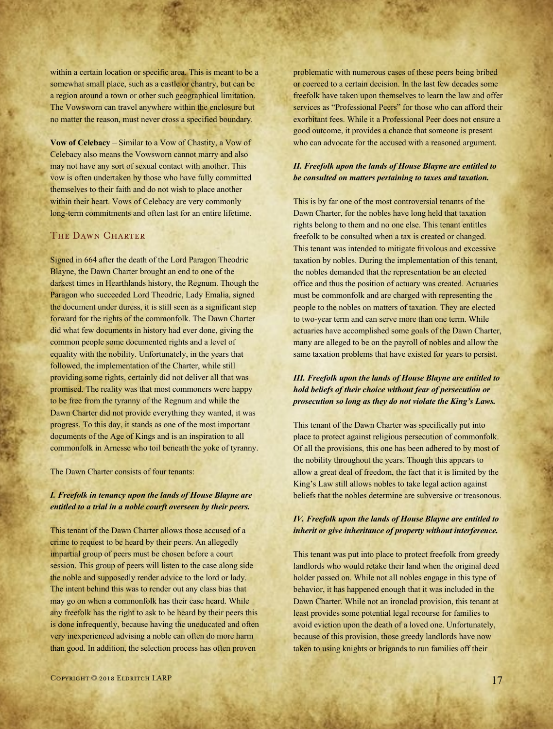within a certain location or specific area. This is meant to be a somewhat small place, such as a castle or chantry, but can be a region around a town or other such geographical limitation. The Vowsworn can travel anywhere within the enclosure but no matter the reason, must never cross a specified boundary.

**Vow of Celebacy** – Similar to a Vow of Chastity, a Vow of Celebacy also means the Vowsworn cannot marry and also may not have any sort of sexual contact with another. This vow is often undertaken by those who have fully committed themselves to their faith and do not wish to place another within their heart. Vows of Celebacy are very commonly long-term commitments and often last for an entire lifetime.

### THE DAWN CHARTER

Signed in 664 after the death of the Lord Paragon Theodric Blayne, the Dawn Charter brought an end to one of the darkest times in Hearthlands history, the Regnum. Though the Paragon who succeeded Lord Theodric, Lady Emalia, signed the document under duress, it is still seen as a significant step forward for the rights of the commonfolk. The Dawn Charter did what few documents in history had ever done, giving the common people some documented rights and a level of equality with the nobility. Unfortunately, in the years that followed, the implementation of the Charter, while still providing some rights, certainly did not deliver all that was promised. The reality was that most commoners were happy to be free from the tyranny of the Regnum and while the Dawn Charter did not provide everything they wanted, it was progress. To this day, it stands as one of the most important documents of the Age of Kings and is an inspiration to all commonfolk in Arnesse who toil beneath the yoke of tyranny.

The Dawn Charter consists of four tenants:

## *I. Freefolk in tenancy upon the lands of House Blayne are entitled to a trial in a noble courft overseen by their peers.*

This tenant of the Dawn Charter allows those accused of a crime to request to be heard by their peers. An allegedly impartial group of peers must be chosen before a court session. This group of peers will listen to the case along side the noble and supposedly render advice to the lord or lady. The intent behind this was to render out any class bias that may go on when a commonfolk has their case heard. While any freefolk has the right to ask to be heard by their peers this is done infrequently, because having the uneducated and often very inexperienced advising a noble can often do more harm than good. In addition, the selection process has often proven

problematic with numerous cases of these peers being bribed or coerced to a certain decision. In the last few decades some freefolk have taken upon themselves to learn the law and offer services as "Professional Peers" for those who can afford their exorbitant fees. While it a Professional Peer does not ensure a good outcome, it provides a chance that someone is present who can advocate for the accused with a reasoned argument.

#### *II. Freefolk upon the lands of House Blayne are entitled to be consulted on matters pertaining to taxes and taxation.*

This is by far one of the most controversial tenants of the Dawn Charter, for the nobles have long held that taxation rights belong to them and no one else. This tenant entitles freefolk to be consulted when a tax is created or changed. This tenant was intended to mitigate frivolous and excessive taxation by nobles. During the implementation of this tenant, the nobles demanded that the representation be an elected office and thus the position of actuary was created. Actuaries must be commonfolk and are charged with representing the people to the nobles on matters of taxation. They are elected to two-year term and can serve more than one term. While actuaries have accomplished some goals of the Dawn Charter, many are alleged to be on the payroll of nobles and allow the same taxation problems that have existed for years to persist.

## *III. Freefolk upon the lands of House Blayne are entitled to hold beliefs of their choice without fear of persecution or prosecution so long as they do not violate the King's Laws.*

This tenant of the Dawn Charter was specifically put into place to protect against religious persecution of commonfolk. Of all the provisions, this one has been adhered to by most of the nobility throughout the years. Though this appears to allow a great deal of freedom, the fact that it is limited by the King's Law still allows nobles to take legal action against beliefs that the nobles determine are subversive or treasonous.

## *IV. Freefolk upon the lands of House Blayne are entitled to inherit or give inheritance of property without interference.*

This tenant was put into place to protect freefolk from greedy landlords who would retake their land when the original deed holder passed on. While not all nobles engage in this type of behavior, it has happened enough that it was included in the Dawn Charter. While not an ironclad provision, this tenant at least provides some potential legal recourse for families to avoid eviction upon the death of a loved one. Unfortunately, because of this provision, those greedy landlords have now taken to using knights or brigands to run families off their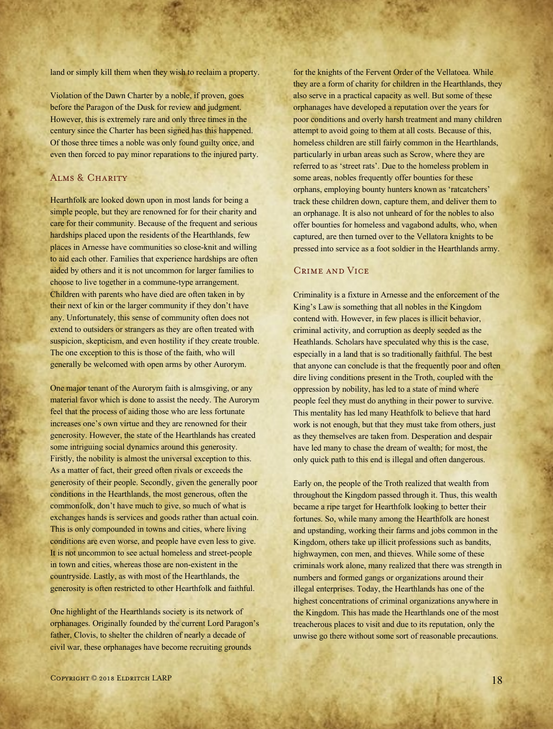land or simply kill them when they wish to reclaim a property.

Violation of the Dawn Charter by a noble, if proven, goes before the Paragon of the Dusk for review and judgment. However, this is extremely rare and only three times in the century since the Charter has been signed has this happened. Of those three times a noble was only found guilty once, and even then forced to pay minor reparations to the injured party.

## Alms & Charity

Hearthfolk are looked down upon in most lands for being a simple people, but they are renowned for for their charity and care for their community. Because of the frequent and serious hardships placed upon the residents of the Hearthlands, few places in Arnesse have communities so close-knit and willing to aid each other. Families that experience hardships are often aided by others and it is not uncommon for larger families to choose to live together in a commune-type arrangement. Children with parents who have died are often taken in by their next of kin or the larger community if they don't have any. Unfortunately, this sense of community often does not extend to outsiders or strangers as they are often treated with suspicion, skepticism, and even hostility if they create trouble. The one exception to this is those of the faith, who will generally be welcomed with open arms by other Aurorym.

One major tenant of the Aurorym faith is almsgiving, or any material favor which is done to assist the needy. The Aurorym feel that the process of aiding those who are less fortunate increases one's own virtue and they are renowned for their generosity. However, the state of the Hearthlands has created some intriguing social dynamics around this generosity. Firstly, the nobility is almost the universal exception to this. As a matter of fact, their greed often rivals or exceeds the generosity of their people. Secondly, given the generally poor conditions in the Hearthlands, the most generous, often the commonfolk, don't have much to give, so much of what is exchanges hands is services and goods rather than actual coin. This is only compounded in towns and cities, where living conditions are even worse, and people have even less to give. It is not uncommon to see actual homeless and street-people in town and cities, whereas those are non-existent in the countryside. Lastly, as with most of the Hearthlands, the generosity is often restricted to other Hearthfolk and faithful.

One highlight of the Hearthlands society is its network of orphanages. Originally founded by the current Lord Paragon's father, Clovis, to shelter the children of nearly a decade of civil war, these orphanages have become recruiting grounds

for the knights of the Fervent Order of the Vellatoea. While they are a form of charity for children in the Hearthlands, they also serve in a practical capacity as well. But some of these orphanages have developed a reputation over the years for poor conditions and overly harsh treatment and many children attempt to avoid going to them at all costs. Because of this, homeless children are still fairly common in the Hearthlands, particularly in urban areas such as Scrow, where they are referred to as 'street rats'. Due to the homeless problem in some areas, nobles frequently offer bounties for these orphans, employing bounty hunters known as 'ratcatchers' track these children down, capture them, and deliver them to an orphanage. It is also not unheard of for the nobles to also offer bounties for homeless and vagabond adults, who, when captured, are then turned over to the Vellatora knights to be pressed into service as a foot soldier in the Hearthlands army.

## Crime and Vice

Criminality is a fixture in Arnesse and the enforcement of the King's Law is something that all nobles in the Kingdom contend with. However, in few places is illicit behavior, criminal activity, and corruption as deeply seeded as the Heathlands. Scholars have speculated why this is the case, especially in a land that is so traditionally faithful. The best that anyone can conclude is that the frequently poor and often dire living conditions present in the Troth, coupled with the oppression by nobility, has led to a state of mind where people feel they must do anything in their power to survive. This mentality has led many Heathfolk to believe that hard work is not enough, but that they must take from others, just as they themselves are taken from. Desperation and despair have led many to chase the dream of wealth; for most, the only quick path to this end is illegal and often dangerous.

Early on, the people of the Troth realized that wealth from throughout the Kingdom passed through it. Thus, this wealth became a ripe target for Hearthfolk looking to better their fortunes. So, while many among the Hearthfolk are honest and upstanding, working their farms and jobs common in the Kingdom, others take up illicit professions such as bandits, highwaymen, con men, and thieves. While some of these criminals work alone, many realized that there was strength in numbers and formed gangs or organizations around their illegal enterprises. Today, the Hearthlands has one of the highest concentrations of criminal organizations anywhere in the Kingdom. This has made the Hearthlands one of the most treacherous places to visit and due to its reputation, only the unwise go there without some sort of reasonable precautions.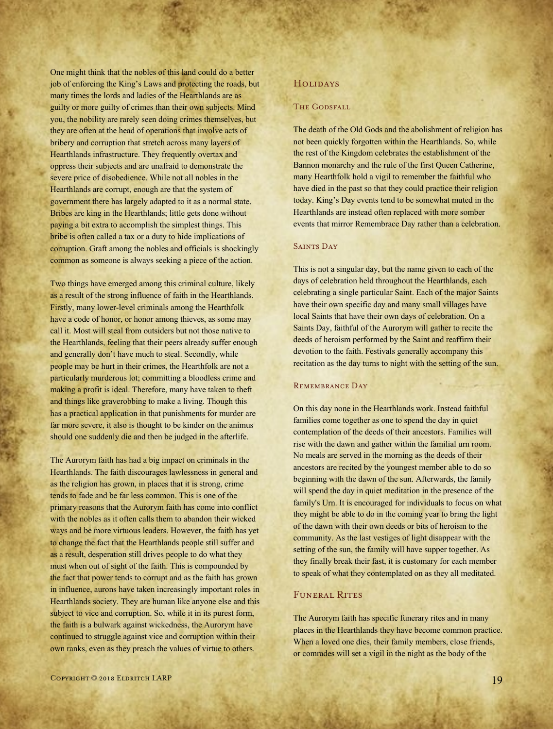One might think that the nobles of this land could do a better job of enforcing the King's Laws and protecting the roads, but many times the lords and ladies of the Hearthlands are as guilty or more guilty of crimes than their own subjects. Mind you, the nobility are rarely seen doing crimes themselves, but they are often at the head of operations that involve acts of bribery and corruption that stretch across many layers of Hearthlands infrastructure. They frequently overtax and oppress their subjects and are unafraid to demonstrate the severe price of disobedience. While not all nobles in the Hearthlands are corrupt, enough are that the system of government there has largely adapted to it as a normal state. Bribes are king in the Hearthlands; little gets done without paying a bit extra to accomplish the simplest things. This bribe is often called a tax or a duty to hide implications of corruption. Graft among the nobles and officials is shockingly common as someone is always seeking a piece of the action.

Two things have emerged among this criminal culture, likely as a result of the strong influence of faith in the Hearthlands. Firstly, many lower-level criminals among the Hearthfolk have a code of honor, or honor among thieves, as some may call it. Most will steal from outsiders but not those native to the Hearthlands, feeling that their peers already suffer enough and generally don't have much to steal. Secondly, while people may be hurt in their crimes, the Hearthfolk are not a particularly murderous lot; committing a bloodless crime and making a profit is ideal. Therefore, many have taken to theft and things like graverobbing to make a living. Though this has a practical application in that punishments for murder are far more severe, it also is thought to be kinder on the animus should one suddenly die and then be judged in the afterlife.

The Aurorym faith has had a big impact on criminals in the Hearthlands. The faith discourages lawlessness in general and as the religion has grown, in places that it is strong, crime tends to fade and be far less common. This is one of the primary reasons that the Aurorym faith has come into conflict with the nobles as it often calls them to abandon their wicked ways and be more virtuous leaders. However, the faith has yet to change the fact that the Hearthlands people still suffer and as a result, desperation still drives people to do what they must when out of sight of the faith. This is compounded by the fact that power tends to corrupt and as the faith has grown in influence, aurons have taken increasingly important roles in Hearthlands society. They are human like anyone else and this subject to vice and corruption. So, while it in its purest form, the faith is a bulwark against wickedness, the Aurorym have continued to struggle against vice and corruption within their own ranks, even as they preach the values of virtue to others.

#### THE GODSFALL

The death of the Old Gods and the abolishment of religion has not been quickly forgotten within the Hearthlands. So, while the rest of the Kingdom celebrates the establishment of the Bannon monarchy and the rule of the first Queen Catherine, many Hearthfolk hold a vigil to remember the faithful who have died in the past so that they could practice their religion today. King's Day events tend to be somewhat muted in the Hearthlands are instead often replaced with more somber events that mirror Remembrace Day rather than a celebration.

#### SAINTS DAY

This is not a singular day, but the name given to each of the days of celebration held throughout the Hearthlands, each celebrating a single particular Saint. Each of the major Saints have their own specific day and many small villages have local Saints that have their own days of celebration. On a Saints Day, faithful of the Aurorym will gather to recite the deeds of heroism performed by the Saint and reaffirm their devotion to the faith. Festivals generally accompany this recitation as the day turns to night with the setting of the sun.

#### REMEMBRANCE DAY

On this day none in the Hearthlands work. Instead faithful families come together as one to spend the day in quiet contemplation of the deeds of their ancestors. Families will rise with the dawn and gather within the familial urn room. No meals are served in the morning as the deeds of their ancestors are recited by the youngest member able to do so beginning with the dawn of the sun. Afterwards, the family will spend the day in quiet meditation in the presence of the family's Urn. It is encouraged for individuals to focus on what they might be able to do in the coming year to bring the light of the dawn with their own deeds or bits of heroism to the community. As the last vestiges of light disappear with the setting of the sun, the family will have supper together. As they finally break their fast, it is customary for each member to speak of what they contemplated on as they all meditated.

#### FUNERAL RITES

The Aurorym faith has specific funerary rites and in many places in the Hearthlands they have become common practice. When a loved one dies, their family members, close friends, or comrades will set a vigil in the night as the body of the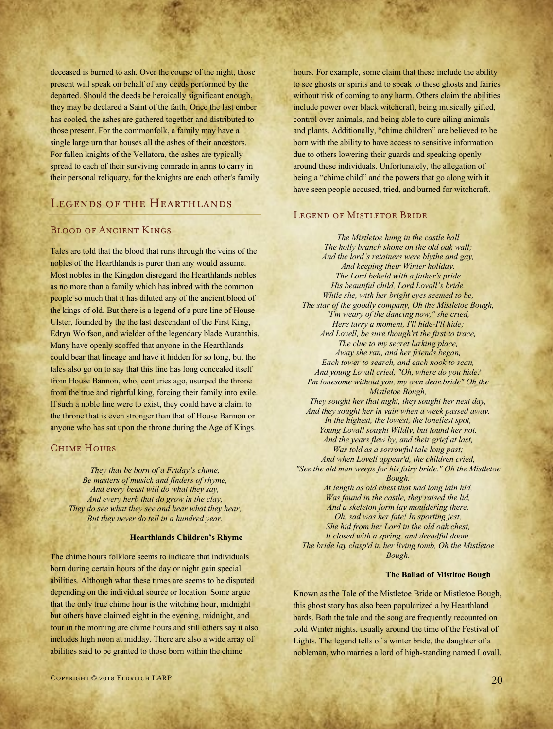deceased is burned to ash. Over the course of the night, those present will speak on behalf of any deeds performed by the departed. Should the deeds be heroically significant enough, they may be declared a Saint of the faith. Once the last ember has cooled, the ashes are gathered together and distributed to those present. For the commonfolk, a family may have a single large urn that houses all the ashes of their ancestors. For fallen knights of the Vellatora, the ashes are typically spread to each of their surviving comrade in arms to carry in their personal reliquary, for the knights are each other's family

## LEGENDS OF THE HEARTHLANDS

## Blood of Ancient Kings

Tales are told that the blood that runs through the veins of the nobles of the Hearthlands is purer than any would assume. Most nobles in the Kingdon disregard the Hearthlands nobles as no more than a family which has inbred with the common people so much that it has diluted any of the ancient blood of the kings of old. But there is a legend of a pure line of House Ulster, founded by the the last descendant of the First King, Edryn Wolfson, and wielder of the legendary blade Auranthis. Many have openly scoffed that anyone in the Hearthlands could bear that lineage and have it hidden for so long, but the tales also go on to say that this line has long concealed itself from House Bannon, who, centuries ago, usurped the throne from the true and rightful king, forcing their family into exile. If such a noble line were to exist, they could have a claim to the throne that is even stronger than that of House Bannon or anyone who has sat upon the throne during the Age of Kings.

## CHIME HOURS

*They that be born of a Friday's chime, Be masters of musick and finders of rhyme, And every beast will do what they say, And every herb that do grow in the clay, They do see what they see and hear what they hear, But they never do tell in a hundred year.*

#### **Hearthlands Children's Rhyme**

The chime hours folklore seems to indicate that individuals born during certain hours of the day or night gain special abilities. Although what these times are seems to be disputed depending on the individual source or location. Some argue that the only true chime hour is the witching hour, midnight but others have claimed eight in the evening, midnight, and four in the morning are chime hours and still others say it also includes high noon at midday. There are also a wide array of abilities said to be granted to those born within the chime

hours. For example, some claim that these include the ability to see ghosts or spirits and to speak to these ghosts and fairies without risk of coming to any harm. Others claim the abilities include power over black witchcraft, being musically gifted, control over animals, and being able to cure ailing animals and plants. Additionally, "chime children" are believed to be born with the ability to have access to sensitive information due to others lowering their guards and speaking openly around these individuals. Unfortunately, the allegation of being a "chime child" and the powers that go along with it have seen people accused, tried, and burned for witchcraft.

#### LEGEND OF MISTLETOE BRIDE

*The Mistletoe hung in the castle hall The holly branch shone on the old oak wall; And the lord's retainers were blythe and gay, And keeping their Winter holiday. The Lord beheld with a father's pride His beautiful child, Lord Lovall's bride. While she, with her bright eyes seemed to be, The star of the goodly company, Oh the Mistletoe Bough, "I'm weary of the dancing now," she cried, Here tarry a moment, I'll hide-I'll hide; And Lovell, be sure though'rt the first to trace, The clue to my secret lurking place, Away she ran, and her friends began, Each tower to search, and each nook to scan, And young Lovall cried, "Oh, where do you hide? I'm lonesome without you, my own dear bride" Oh the Mistletoe Bough, They sought her that night, they sought her next day, And they sought her in vain when a week passed away. In the highest, the lowest, the loneliest spot, Young Lovall sought Wildly, but found her not. And the years flew by, and their grief at last, Was told as a sorrowful tale long past; And when Lovell appear'd, the children cried, "See the old man weeps for his fairy bride." Oh the Mistletoe Bough. At length as old chest that had long lain hid, Was found in the castle, they raised the lid, And a skeleton form lay mouldering there, Oh, sad was her fate! In sporting jest, She hid from her Lord in the old oak chest, It closed with a spring, and dreadful doom,*

*The bride lay clasp'd in her living tomb, Oh the Mistletoe Bough.*

#### **The Ballad of Mistltoe Bough**

Known as the Tale of the Mistletoe Bride or Mistletoe Bough, this ghost story has also been popularized a by Hearthland bards. Both the tale and the song are frequently recounted on cold Winter nights, usually around the time of the Festival of Lights. The legend tells of a winter bride, the daughter of a nobleman, who marries a lord of high-standing named Lovall.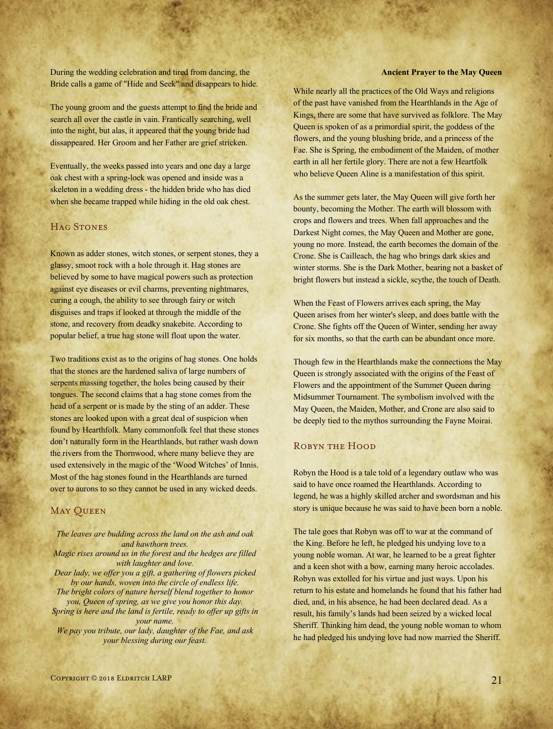During the wedding celebration and tired from dancing, the Bride calls a game of "Hide and Seek" and disappears to hide.

The young groom and the guests attempt to find the bride and search all over the castle in vain. Frantically searching, well into the night, but alas, it appeared that the young bride had dissappeared. Her Groom and her Father are grief stricken.

Eventually, the weeks passed into years and one day a large oak chest with a spring-lock was opened and inside was a skeleton in a wedding dress - the hidden bride who has died when she became trapped while hiding in the old oak chest.

## HAG STONES

Known as adder stones, witch stones, or serpent stones, they a glassy, smoot rock with a hole through it. Hag stones are believed by some to have magical powers such as protection against eye diseases or evil charms, preventing nightmares, curing a cough, the ability to see through fairy or witch disguises and traps if looked at through the middle of the stone, and recovery from deadky snakebite. According to popular belief, a true hag stone will float upon the water.

Two traditions exist as to the origins of hag stones. One holds that the stones are the hardened saliva of large numbers of serpents massing together, the holes being caused by their tongues. The second claims that a hag stone comes from the head of a serpent or is made by the sting of an adder. These stones are looked upon with a great deal of suspicion when found by Hearthfolk. Many commonfolk feel that these stones don't naturally form in the Hearthlands, but rather wash down the rivers from the Thornwood, where many believe they are used extensively in the magic of the 'Wood Witches' of Innis. Most of the hag stones found in the Hearthlands are turned over to aurons to so they cannot be used in any wicked deeds.

## **MAY QUEEN**

*The leaves are budding across the land on the ash and oak and hawthorn trees. Magic rises around us in the forest and the hedges are filled with laughter and love. Dear lady, we offer you a gift, a gathering of flowers picked by our hands, woven into the circle of endless life. The bright colors of nature herself blend together to honor you, Queen of spring, as we give you honor this day. Spring is here and the land is fertile, ready to offer up gifts in your name. We pay you tribute, our lady, daughter of the Fae, and ask your blessing during our feast.*

#### **Ancient Prayer to the May Queen**

While nearly all the practices of the Old Ways and religions of the past have vanished from the Hearthlands in the Age of Kings, there are some that have survived as folklore. The May Queen is spoken of as a primordial spirit, the goddess of the flowers, and the young blushing bride, and a princess of the Fae. She is Spring, the embodiment of the Maiden, of mother earth in all her fertile glory. There are not a few Heartfolk who believe Queen Aline is a manifestation of this spirit.

As the summer gets later, the May Queen will give forth her bounty, becoming the Mother. The earth will blossom with crops and flowers and trees. When fall approaches and the Darkest Night comes, the May Queen and Mother are gone, young no more. Instead, the earth becomes the domain of the Crone. She is Cailleach, the hag who brings dark skies and winter storms. She is the Dark Mother, bearing not a basket of bright flowers but instead a sickle, scythe, the touch of Death.

When the Feast of Flowers arrives each spring, the May Queen arises from her winter's sleep, and does battle with the Crone. She fights off the Queen of Winter, sending her away for six months, so that the earth can be abundant once more.

Though few in the Hearthlands make the connections the May Queen is strongly associated with the origins of the Feast of Flowers and the appointment of the Summer Queen during Midsummer Tournament. The symbolism involved with the May Queen, the Maiden, Mother, and Crone are also said to be deeply tied to the mythos surrounding the Fayne Moirai.

## Robyn the Hood

Robyn the Hood is a tale told of a legendary outlaw who was said to have once roamed the Hearthlands. According to legend, he was a highly skilled archer and swordsman and his story is unique because he was said to have been born a noble.

The tale goes that Robyn was off to war at the command of the King. Before he left, he pledged his undying love to a young noble woman. At war, he learned to be a great fighter and a keen shot with a bow, earning many heroic accolades. Robyn was extolled for his virtue and just ways. Upon his return to his estate and homelands he found that his father had died, and, in his absence, he had been declared dead. As a result, his family's lands had been seized by a wicked local Sheriff. Thinking him dead, the young noble woman to whom he had pledged his undying love had now married the Sheriff.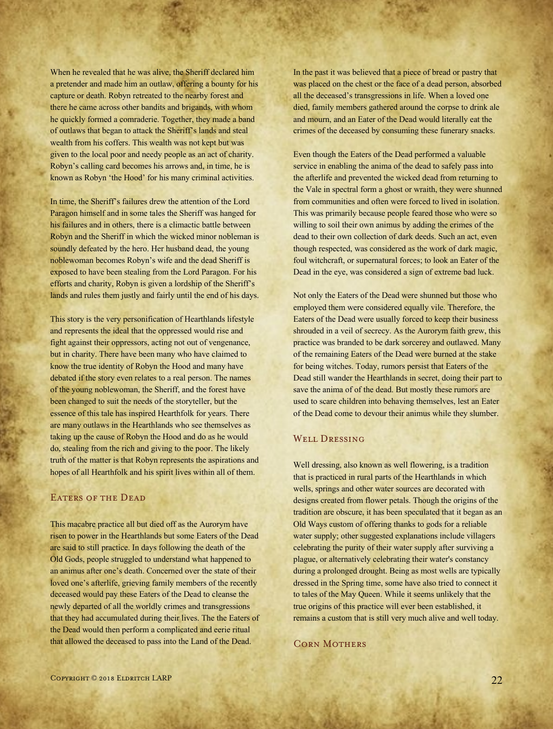When he revealed that he was alive, the Sheriff declared him a pretender and made him an outlaw, offering a bounty for his capture or death. Robyn retreated to the nearby forest and there he came across other bandits and brigands, with whom he quickly formed a comraderie. Together, they made a band of outlaws that began to attack the Sheriff's lands and steal wealth from his coffers. This wealth was not kept but was given to the local poor and needy people as an act of charity. Robyn's calling card becomes his arrows and, in time, he is known as Robyn 'the Hood' for his many criminal activities.

In time, the Sheriff's failures drew the attention of the Lord Paragon himself and in some tales the Sheriff was hanged for his failures and in others, there is a climactic battle between Robyn and the Sheriff in which the wicked minor nobleman is soundly defeated by the hero. Her husband dead, the young noblewoman becomes Robyn's wife and the dead Sheriff is exposed to have been stealing from the Lord Paragon. For his efforts and charity, Robyn is given a lordship of the Sheriff's lands and rules them justly and fairly until the end of his days.

This story is the very personification of Hearthlands lifestyle and represents the ideal that the oppressed would rise and fight against their oppressors, acting not out of vengenance, but in charity. There have been many who have claimed to know the true identity of Robyn the Hood and many have debated if the story even relates to a real person. The names of the young noblewoman, the Sheriff, and the forest have been changed to suit the needs of the storyteller, but the essence of this tale has inspired Hearthfolk for years. There are many outlaws in the Hearthlands who see themselves as taking up the cause of Robyn the Hood and do as he would do, stealing from the rich and giving to the poor. The likely truth of the matter is that Robyn represents the aspirations and hopes of all Hearthfolk and his spirit lives within all of them.

## EATERS OF THE DEAD

This macabre practice all but died off as the Aurorym have risen to power in the Hearthlands but some Eaters of the Dead are said to still practice. In days following the death of the Old Gods, people struggled to understand what happened to an animus after one's death. Concerned over the state of their loved one's afterlife, grieving family members of the recently deceased would pay these Eaters of the Dead to cleanse the newly departed of all the worldly crimes and transgressions that they had accumulated during their lives. The the Eaters of the Dead would then perform a complicated and eerie ritual that allowed the deceased to pass into the Land of the Dead.

In the past it was believed that a piece of bread or pastry that was placed on the chest or the face of a dead person, absorbed all the deceased's transgressions in life. When a loved one died, family members gathered around the corpse to drink ale and mourn, and an Eater of the Dead would literally eat the crimes of the deceased by consuming these funerary snacks.

Even though the Eaters of the Dead performed a valuable service in enabling the anima of the dead to safely pass into the afterlife and prevented the wicked dead from returning to the Vale in spectral form a ghost or wraith, they were shunned from communities and often were forced to lived in isolation. This was primarily because people feared those who were so willing to soil their own animus by adding the crimes of the dead to their own collection of dark deeds. Such an act, even though respected, was considered as the work of dark magic, foul witchcraft, or supernatural forces; to look an Eater of the Dead in the eye, was considered a sign of extreme bad luck.

Not only the Eaters of the Dead were shunned but those who employed them were considered equally vile. Therefore, the Eaters of the Dead were usually forced to keep their business shrouded in a veil of secrecy. As the Aurorym faith grew, this practice was branded to be dark sorcerey and outlawed. Many of the remaining Eaters of the Dead were burned at the stake for being witches. Today, rumors persist that Eaters of the Dead still wander the Hearthlands in secret, doing their part to save the anima of of the dead. But mostly these rumors are used to scare children into behaving themselves, lest an Eater of the Dead come to devour their animus while they slumber.

## WELL DRESSING

Well dressing, also known as well flowering, is a tradition that is practiced in rural parts of the Hearthlands in which wells, springs and other water sources are decorated with designs created from flower petals. Though the origins of the tradition are obscure, it has been speculated that it began as an Old Ways custom of offering thanks to gods for a reliable water supply; other suggested explanations include villagers celebrating the purity of their water supply after surviving a plague, or alternatively celebrating their water's constancy during a prolonged drought. Being as most wells are typically dressed in the Spring time, some have also tried to connect it to tales of the May Queen. While it seems unlikely that the true origins of this practice will ever been established, it remains a custom that is still very much alive and well today.

#### Corn Mothers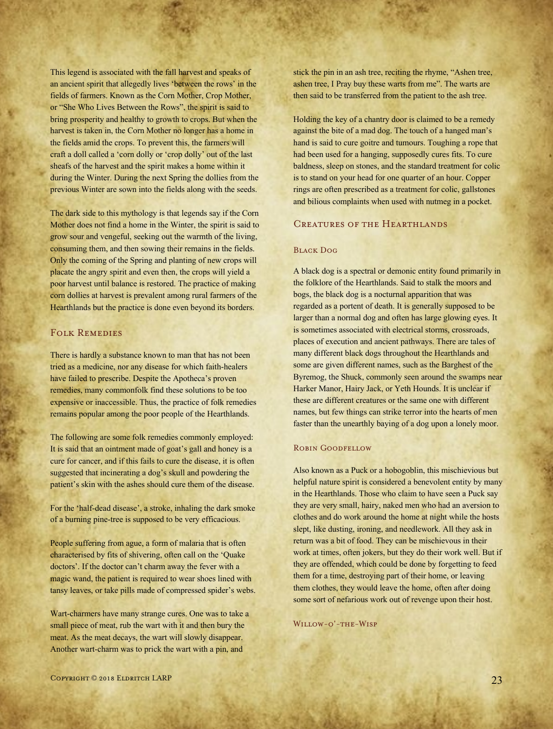This legend is associated with the fall harvest and speaks of an ancient spirit that allegedly lives 'between the rows' in the fields of farmers. Known as the Corn Mother, Crop Mother, or "She Who Lives Between the Rows", the spirit is said to bring prosperity and healthy to growth to crops. But when the harvest is taken in, the Corn Mother no longer has a home in the fields amid the crops. To prevent this, the farmers will craft a doll called a 'corn dolly or 'crop dolly' out of the last sheafs of the harvest and the spirit makes a home within it during the Winter. During the next Spring the dollies from the previous Winter are sown into the fields along with the seeds.

The dark side to this mythology is that legends say if the Corn Mother does not find a home in the Winter, the spirit is said to grow sour and vengeful, seeking out the warmth of the living, consuming them, and then sowing their remains in the fields. Only the coming of the Spring and planting of new crops will placate the angry spirit and even then, the crops will yield a poor harvest until balance is restored. The practice of making corn dollies at harvest is prevalent among rural farmers of the Hearthlands but the practice is done even beyond its borders.

## Folk Remedies

There is hardly a substance known to man that has not been tried as a medicine, nor any disease for which faith-healers have failed to prescribe. Despite the Apotheca's proven remedies, many commonfolk find these solutions to be too expensive or inaccessible. Thus, the practice of folk remedies remains popular among the poor people of the Hearthlands.

The following are some folk remedies commonly employed: It is said that an ointment made of goat's gall and honey is a cure for cancer, and if this fails to cure the disease, it is often suggested that incinerating a dog's skull and powdering the patient's skin with the ashes should cure them of the disease.

For the 'half-dead disease', a stroke, inhaling the dark smoke of a burning pine-tree is supposed to be very efficacious.

People suffering from ague, a form of malaria that is often characterised by fits of shivering, often call on the 'Quake doctors'. If the doctor can't charm away the fever with a magic wand, the patient is required to wear shoes lined with tansy leaves, or take pills made of compressed spider's webs.

Wart-charmers have many strange cures. One was to take a small piece of meat, rub the wart with it and then bury the meat. As the meat decays, the wart will slowly disappear. Another wart-charm was to prick the wart with a pin, and

stick the pin in an ash tree, reciting the rhyme, "Ashen tree, ashen tree, I Pray buy these warts from me". The warts are then said to be transferred from the patient to the ash tree.

Holding the key of a chantry door is claimed to be a remedy against the bite of a mad dog. The touch of a hanged man's hand is said to cure goitre and tumours. Toughing a rope that had been used for a hanging, supposedly cures fits. To cure baldness, sleep on stones, and the standard treatment for colic is to stand on your head for one quarter of an hour. Copper rings are often prescribed as a treatment for colic, gallstones and bilious complaints when used with nutmeg in a pocket.

## Creatures of the Hearthlands

#### Black Dog

A black dog is a spectral or demonic entity found primarily in the folklore of the Hearthlands. Said to stalk the moors and bogs, the black dog is a nocturnal apparition that was regarded as a portent of death. It is generally supposed to be larger than a normal dog and often has large glowing eyes. It is sometimes associated with electrical storms, crossroads, places of execution and ancient pathways. There are tales of many different black dogs throughout the Hearthlands and some are given different names, such as the Barghest of the Byremog, the Shuck, commonly seen around the swamps near Harker Manor, Hairy Jack, or Yeth Hounds. It is unclear if these are different creatures or the same one with different names, but few things can strike terror into the hearts of men faster than the unearthly baying of a dog upon a lonely moor.

#### Robin Goodfellow

Also known as a Puck or a hobogoblin, this mischievious but helpful nature spirit is considered a benevolent entity by many in the Hearthlands. Those who claim to have seen a Puck say they are very small, hairy, naked men who had an aversion to clothes and do work around the home at night while the hosts slept, like dusting, ironing, and needlework. All they ask in return was a bit of food. They can be mischievous in their work at times, often jokers, but they do their work well. But if they are offended, which could be done by forgetting to feed them for a time, destroying part of their home, or leaving them clothes, they would leave the home, often after doing some sort of nefarious work out of revenge upon their host.

Willow-o'-the-Wisp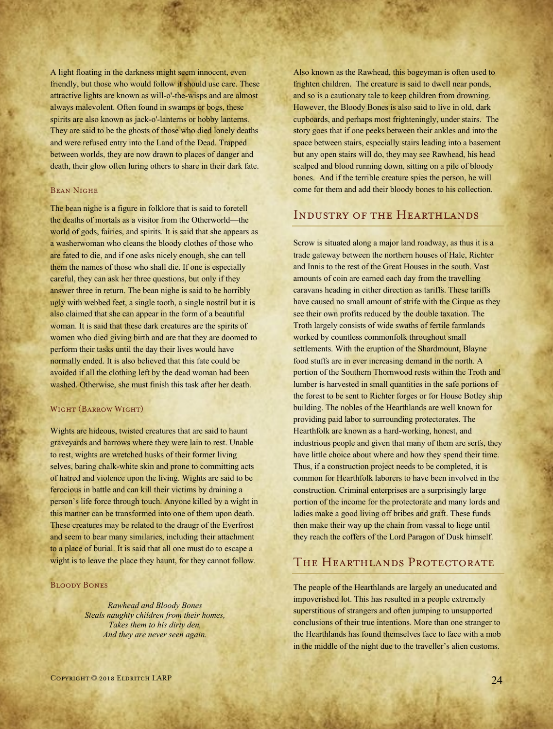A light floating in the darkness might seem innocent, even friendly, but those who would follow it should use care. These attractive lights are known as will-o'-the-wisps and are almost always malevolent. Often found in swamps or bogs, these spirits are also known as jack-o'-lanterns or hobby lanterns. They are said to be the ghosts of those who died lonely deaths and were refused entry into the Land of the Dead. Trapped between worlds, they are now drawn to places of danger and death, their glow often luring others to share in their dark fate.

#### Bean Nighe

The bean nighe is a figure in folklore that is said to foretell the deaths of mortals as a visitor from the Otherworld—the world of gods, fairies, and spirits. It is said that she appears as a washerwoman who cleans the bloody clothes of those who are fated to die, and if one asks nicely enough, she can tell them the names of those who shall die. If one is especially careful, they can ask her three questions, but only if they answer three in return. The bean nighe is said to be horribly ugly with webbed feet, a single tooth, a single nostril but it is also claimed that she can appear in the form of a beautiful woman. It is said that these dark creatures are the spirits of women who died giving birth and are that they are doomed to perform their tasks until the day their lives would have normally ended. It is also believed that this fate could be avoided if all the clothing left by the dead woman had been washed. Otherwise, she must finish this task after her death.

#### Wight (Barrow Wight)

Wights are hideous, twisted creatures that are said to haunt graveyards and barrows where they were lain to rest. Unable to rest, wights are wretched husks of their former living selves, baring chalk-white skin and prone to committing acts of hatred and violence upon the living. Wights are said to be ferocious in battle and can kill their victims by draining a person's life force through touch. Anyone killed by a wight in this manner can be transformed into one of them upon death. These creatures may be related to the draugr of the Everfrost and seem to bear many similaries, including their attachment to a place of burial. It is said that all one must do to escape a wight is to leave the place they haunt, for they cannot follow.

#### Bloody Bones

*Rawhead and Bloody Bones Steals naughty children from their homes, Takes them to his dirty den, And they are never seen again.*

Also known as the Rawhead, this bogeyman is often used to frighten children. The creature is said to dwell near ponds, and so is a cautionary tale to keep children from drowning. However, the Bloody Bones is also said to live in old, dark cupboards, and perhaps most frighteningly, under stairs. The story goes that if one peeks between their ankles and into the space between stairs, especially stairs leading into a basement but any open stairs will do, they may see Rawhead, his head scalped and blood running down, sitting on a pile of bloody bones. And if the terrible creature spies the person, he will come for them and add their bloody bones to his collection.

## Industry of the Hearthlands

Scrow is situated along a major land roadway, as thus it is a trade gateway between the northern houses of Hale, Richter and Innis to the rest of the Great Houses in the south. Vast amounts of coin are earned each day from the travelling caravans heading in either direction as tariffs. These tariffs have caused no small amount of strife with the Cirque as they see their own profits reduced by the double taxation. The Troth largely consists of wide swaths of fertile farmlands worked by countless commonfolk throughout small settlements. With the eruption of the Shardmount, Blayne food stuffs are in ever increasing demand in the north. A portion of the Southern Thornwood rests within the Troth and lumber is harvested in small quantities in the safe portions of the forest to be sent to Richter forges or for House Botley ship building. The nobles of the Hearthlands are well known for providing paid labor to surrounding protectorates. The Hearthfolk are known as a hard-working, honest, and industrious people and given that many of them are serfs, they have little choice about where and how they spend their time. Thus, if a construction project needs to be completed, it is common for Hearthfolk laborers to have been involved in the construction. Criminal enterprises are a surprisingly large portion of the income for the protectorate and many lords and ladies make a good living off bribes and graft. These funds then make their way up the chain from vassal to liege until they reach the coffers of the Lord Paragon of Dusk himself.

## THE HEARTHLANDS PROTECTORATE

The people of the Hearthlands are largely an uneducated and impoverished lot. This has resulted in a people extremely superstitious of strangers and often jumping to unsupported conclusions of their true intentions. More than one stranger to the Hearthlands has found themselves face to face with a mob in the middle of the night due to the traveller's alien customs.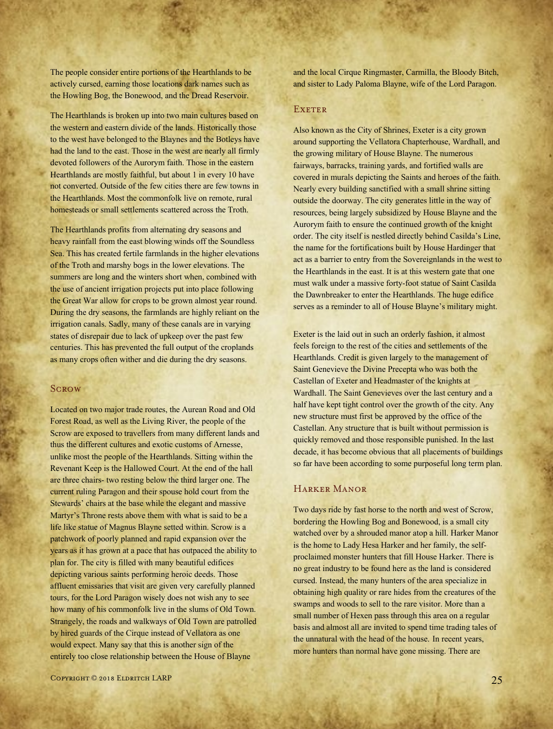The people consider entire portions of the Hearthlands to be actively cursed, earning those locations dark names such as the Howling Bog, the Bonewood, and the Dread Reservoir.

The Hearthlands is broken up into two main cultures based on the western and eastern divide of the lands. Historically those to the west have belonged to the Blaynes and the Botleys have had the land to the east. Those in the west are nearly all firmly devoted followers of the Aurorym faith. Those in the eastern Hearthlands are mostly faithful, but about 1 in every 10 have not converted. Outside of the few cities there are few towns in the Hearthlands. Most the commonfolk live on remote, rural homesteads or small settlements scattered across the Troth.

The Hearthlands profits from alternating dry seasons and heavy rainfall from the east blowing winds off the Soundless Sea. This has created fertile farmlands in the higher elevations of the Troth and marshy bogs in the lower elevations. The summers are long and the winters short when, combined with the use of ancient irrigation projects put into place following the Great War allow for crops to be grown almost year round. During the dry seasons, the farmlands are highly reliant on the irrigation canals. Sadly, many of these canals are in varying states of disrepair due to lack of upkeep over the past few centuries. This has prevented the full output of the croplands as many crops often wither and die during the dry seasons.

#### **SCROW**

Located on two major trade routes, the Aurean Road and Old Forest Road, as well as the Living River, the people of the Scrow are exposed to travellers from many different lands and thus the different cultures and exotic customs of Arnesse, unlike most the people of the Hearthlands. Sitting within the Revenant Keep is the Hallowed Court. At the end of the hall are three chairs- two resting below the third larger one. The current ruling Paragon and their spouse hold court from the Stewards' chairs at the base while the elegant and massive Martyr's Throne rests above them with what is said to be a life like statue of Magnus Blayne setted within. Scrow is a patchwork of poorly planned and rapid expansion over the years as it has grown at a pace that has outpaced the ability to plan for. The city is filled with many beautiful edifices depicting various saints performing heroic deeds. Those affluent emissaries that visit are given very carefully planned tours, for the Lord Paragon wisely does not wish any to see how many of his commonfolk live in the slums of Old Town. Strangely, the roads and walkways of Old Town are patrolled by hired guards of the Cirque instead of Vellatora as one would expect. Many say that this is another sign of the entirely too close relationship between the House of Blayne

and the local Cirque Ringmaster, Carmilla, the Bloody Bitch, and sister to Lady Paloma Blayne, wife of the Lord Paragon.

#### **EXETER**

Also known as the City of Shrines, Exeter is a city grown around supporting the Vellatora Chapterhouse, Wardhall, and the growing military of House Blayne. The numerous fairways, barracks, training yards, and fortified walls are covered in murals depicting the Saints and heroes of the faith. Nearly every building sanctified with a small shrine sitting outside the doorway. The city generates little in the way of resources, being largely subsidized by House Blayne and the Aurorym faith to ensure the continued growth of the knight order. The city itself is nestled directly behind Casilda's Line, the name for the fortifications built by House Hardinger that act as a barrier to entry from the Sovereignlands in the west to the Hearthlands in the east. It is at this western gate that one must walk under a massive forty-foot statue of Saint Casilda the Dawnbreaker to enter the Hearthlands. The huge edifice serves as a reminder to all of House Blayne's military might.

Exeter is the laid out in such an orderly fashion, it almost feels foreign to the rest of the cities and settlements of the Hearthlands. Credit is given largely to the management of Saint Genevieve the Divine Precepta who was both the Castellan of Exeter and Headmaster of the knights at Wardhall. The Saint Genevieves over the last century and a half have kept tight control over the growth of the city. Any new structure must first be approved by the office of the Castellan. Any structure that is built without permission is quickly removed and those responsible punished. In the last decade, it has become obvious that all placements of buildings so far have been according to some purposeful long term plan.

## Harker Manor

Two days ride by fast horse to the north and west of Scrow, bordering the Howling Bog and Bonewood, is a small city watched over by a shrouded manor atop a hill. Harker Manor is the home to Lady Hesa Harker and her family, the selfproclaimed monster hunters that fill House Harker. There is no great industry to be found here as the land is considered cursed. Instead, the many hunters of the area specialize in obtaining high quality or rare hides from the creatures of the swamps and woods to sell to the rare visitor. More than a small number of Hexen pass through this area on a regular basis and almost all are invited to spend time trading tales of the unnatural with the head of the house. In recent years, more hunters than normal have gone missing. There are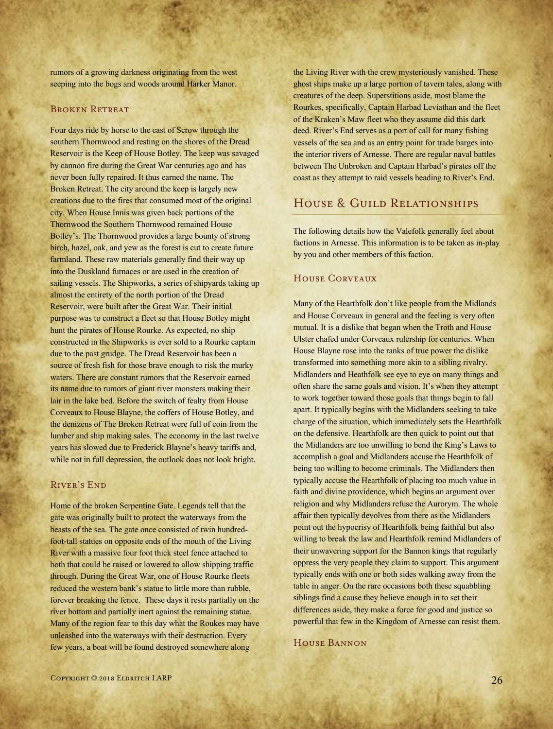RIVER'S END

forever breaking the fence. These days it rests partially on the river bottom and partially inert against the remaining statue. Many of the region fear to this day what the Roukes may have unleashed into the waterways with their destruction. Every few years, a boat will be found destroyed somewhere along

Home of the broken Serpentine Gate. Legends tell that the gate was originally built to protect the waterways from the beasts of the sea. The gate once consisted of twin hundredfoot-tall statues on opposite ends of the mouth of the Living River with a massive four foot thick steel fence attached to both that could be raised or lowered to allow shipping traffic through. During the Great War, one of House Rourke fleets reduced the western bank's statue to little more than rubble,

rumors of a growing darkness originating from the west seeping into the bogs and woods around Harker Manor.

Four days ride by horse to the east of Scrow through the southern Thornwood and resting on the shores of the Dread Reservoir is the Keep of House Botley. The keep was savaged by cannon fire during the Great War centuries ago and has never been fully repaired. It thus earned the name, The Broken Retreat. The city around the keep is largely new creations due to the fires that consumed most of the original city. When House Innis was given back portions of the Thornwood the Southern Thornwood remained House Botley's. The Thornwood provides a large bounty of strong birch, hazel, oak, and yew as the forest is cut to create future farmland. These raw materials generally find their way up into the Duskland furnaces or are used in the creation of sailing vessels. The Shipworks, a series of shipyards taking up

almost the entirety of the north portion of the Dread Reservoir, were built after the Great War. Their initial purpose was to construct a fleet so that House Botley might hunt the pirates of House Rourke. As expected, no ship constructed in the Shipworks is ever sold to a Rourke captain due to the past grudge. The Dread Reservoir has been a source of fresh fish for those brave enough to risk the murky waters. There are constant rumors that the Reservoir earned its name due to rumors of giant river monsters making their lair in the lake bed. Before the switch of fealty from House Corveaux to House Blayne, the coffers of House Botley, and the denizens of The Broken Retreat were full of coin from the lumber and ship making sales. The economy in the last twelve years has slowed due to Frederick Blayne's heavy tariffs and, while not in full depression, the outlook does not look bright.

BROKEN RETREAT

the Living River with the crew mysteriously vanished. These ghost ships make up a large portion of tavern tales, along with creatures of the deep. Superstitions aside, most blame the Rourkes, specifically, Captain Harbad Leviathan and the fleet of the Kraken's Maw fleet who they assume did this dark deed. River's End serves as a port of call for many fishing vessels of the sea and as an entry point for trade barges into the interior rivers of Arnesse. There are regular naval battles between The Unbroken and Captain Harbad's pirates off the coast as they attempt to raid vessels heading to River's End.

## HOUSE & GUILD RELATIONSHIPS

The following details how the Valefolk generally feel about factions in Arnesse. This information is to be taken as in-play by you and other members of this faction.

## House Corveaux

Many of the Hearthfolk don't like people from the Midlands and House Corveaux in general and the feeling is very often mutual. It is a dislike that began when the Troth and House Ulster chafed under Corveaux rulership for centuries. When House Blayne rose into the ranks of true power the dislike transformed into something more akin to a sibling rivalry. Midlanders and Heathfolk see eye to eye on many things and often share the same goals and vision. It's when they attempt to work together toward those goals that things begin to fall apart. It typically begins with the Midlanders seeking to take charge of the situation, which immediately sets the Hearthfolk on the defensive. Hearthfolk are then quick to point out that the Midlanders are too unwilling to bend the King's Laws to accomplish a goal and Midlanders accuse the Hearthfolk of being too willing to become criminals. The Midlanders then typically accuse the Hearthfolk of placing too much value in faith and divine providence, which begins an argument over religion and why Midlanders refuse the Aurorym. The whole affair then typically devolves from there as the Midlanders point out the hypocrisy of Hearthfolk being faithful but also willing to break the law and Hearthfolk remind Midlanders of their unwavering support for the Bannon kings that regularly oppress the very people they claim to support. This argument typically ends with one or both sides walking away from the table in anger. On the rare occasions both these squabbling siblings find a cause they believe enough in to set their differences aside, they make a force for good and justice so powerful that few in the Kingdom of Arnesse can resist them.

## House Bannon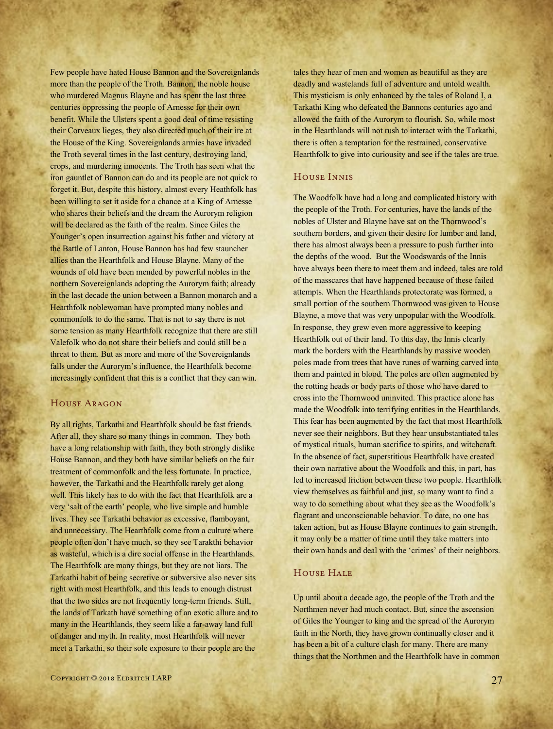Few people have hated House Bannon and the Sovereignlands more than the people of the Troth. Bannon, the noble house who murdered Magnus Blayne and has spent the last three centuries oppressing the people of Arnesse for their own benefit. While the Ulsters spent a good deal of time resisting their Corveaux lieges, they also directed much of their ire at the House of the King. Sovereignlands armies have invaded the Troth several times in the last century, destroying land, crops, and murdering innocents. The Troth has seen what the iron gauntlet of Bannon can do and its people are not quick to forget it. But, despite this history, almost every Heathfolk has been willing to set it aside for a chance at a King of Arnesse who shares their beliefs and the dream the Aurorym religion will be declared as the faith of the realm. Since Giles the Younger's open insurrection against his father and victory at the Battle of Lanton, House Bannon has had few stauncher allies than the Hearthfolk and House Blayne. Many of the wounds of old have been mended by powerful nobles in the northern Sovereignlands adopting the Aurorym faith; already in the last decade the union between a Bannon monarch and a Hearthfolk noblewoman have prompted many nobles and commonfolk to do the same. That is not to say there is not some tension as many Hearthfolk recognize that there are still Valefolk who do not share their beliefs and could still be a threat to them. But as more and more of the Sovereignlands falls under the Aurorym's influence, the Hearthfolk become increasingly confident that this is a conflict that they can win.

#### House Aragon

By all rights, Tarkathi and Hearthfolk should be fast friends. After all, they share so many things in common. They both have a long relationship with faith, they both strongly dislike House Bannon, and they both have similar beliefs on the fair treatment of commonfolk and the less fortunate. In practice, however, the Tarkathi and the Hearthfolk rarely get along well. This likely has to do with the fact that Hearthfolk are a very 'salt of the earth' people, who live simple and humble lives. They see Tarkathi behavior as excessive, flamboyant, and unnecessary. The Hearthfolk come from a culture where people often don't have much, so they see Tarakthi behavior as wasteful, which is a dire social offense in the Hearthlands. The Hearthfolk are many things, but they are not liars. The Tarkathi habit of being secretive or subversive also never sits right with most Hearthfolk, and this leads to enough distrust that the two sides are not frequently long-term friends. Still, the lands of Tarkath have something of an exotic allure and to many in the Hearthlands, they seem like a far-away land full of danger and myth. In reality, most Hearthfolk will never meet a Tarkathi, so their sole exposure to their people are the

tales they hear of men and women as beautiful as they are deadly and wastelands full of adventure and untold wealth. This mysticism is only enhanced by the tales of Roland I, a Tarkathi King who defeated the Bannons centuries ago and allowed the faith of the Aurorym to flourish. So, while most in the Hearthlands will not rush to interact with the Tarkathi, there is often a temptation for the restrained, conservative Hearthfolk to give into curiousity and see if the tales are true.

## House Innis

The Woodfolk have had a long and complicated history with the people of the Troth. For centuries, have the lands of the nobles of Ulster and Blayne have sat on the Thornwood's southern borders, and given their desire for lumber and land, there has almost always been a pressure to push further into the depths of the wood. But the Woodswards of the Innis have always been there to meet them and indeed, tales are told of the masscares that have happened because of these failed attempts. When the Hearthlands protectorate was formed, a small portion of the southern Thornwood was given to House Blayne, a move that was very unpopular with the Woodfolk. In response, they grew even more aggressive to keeping Hearthfolk out of their land. To this day, the Innis clearly mark the borders with the Hearthlands by massive wooden poles made from trees that have runes of warning carved into them and painted in blood. The poles are often augmented by the rotting heads or body parts of those who have dared to cross into the Thornwood uninvited. This practice alone has made the Woodfolk into terrifying entities in the Hearthlands. This fear has been augmented by the fact that most Hearthfolk never see their neighbors. But they hear unsubstantiated tales of mystical rituals, human sacrifice to spirits, and witchcraft. In the absence of fact, superstitious Hearthfolk have created their own narrative about the Woodfolk and this, in part, has led to increased friction between these two people. Hearthfolk view themselves as faithful and just, so many want to find a way to do something about what they see as the Woodfolk's flagrant and unconscionable behavior. To date, no one has taken action, but as House Blayne continues to gain strength, it may only be a matter of time until they take matters into their own hands and deal with the 'crimes' of their neighbors.

## HOUSE HALE

Up until about a decade ago, the people of the Troth and the Northmen never had much contact. But, since the ascension of Giles the Younger to king and the spread of the Aurorym faith in the North, they have grown continually closer and it has been a bit of a culture clash for many. There are many things that the Northmen and the Hearthfolk have in common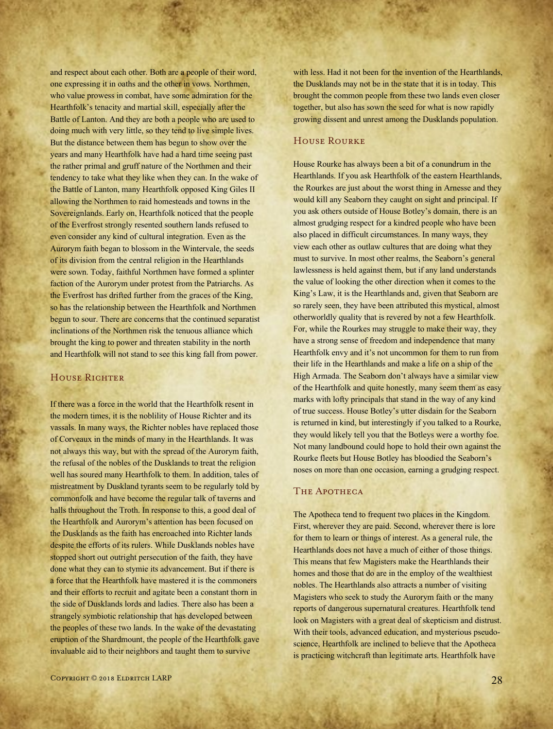and respect about each other. Both are a people of their word, one expressing it in oaths and the other in vows. Northmen, who value prowess in combat, have some admiration for the Hearthfolk's tenacity and martial skill, especially after the Battle of Lanton. And they are both a people who are used to doing much with very little, so they tend to live simple lives. But the distance between them has begun to show over the years and many Hearthfolk have had a hard time seeing past the rather primal and gruff nature of the Northmen and their tendency to take what they like when they can. In the wake of the Battle of Lanton, many Hearthfolk opposed King Giles II allowing the Northmen to raid homesteads and towns in the Sovereignlands. Early on, Hearthfolk noticed that the people of the Everfrost strongly resented southern lands refused to even consider any kind of cultural integration. Even as the Aurorym faith began to blossom in the Wintervale, the seeds of its division from the central religion in the Hearthlands were sown. Today, faithful Northmen have formed a splinter faction of the Aurorym under protest from the Patriarchs. As the Everfrost has drifted further from the graces of the King, so has the relationship between the Hearthfolk and Northmen begun to sour. There are concerns that the continued separatist inclinations of the Northmen risk the tenuous alliance which brought the king to power and threaten stability in the north and Hearthfolk will not stand to see this king fall from power.

## HOUSE RICHTER

If there was a force in the world that the Hearthfolk resent in the modern times, it is the noblility of House Richter and its vassals. In many ways, the Richter nobles have replaced those of Corveaux in the minds of many in the Hearthlands. It was not always this way, but with the spread of the Aurorym faith, the refusal of the nobles of the Dusklands to treat the religion well has soured many Hearthfolk to them. In addition, tales of mistreatment by Duskland tyrants seem to be regularly told by commonfolk and have become the regular talk of taverns and halls throughout the Troth. In response to this, a good deal of the Hearthfolk and Aurorym's attention has been focused on the Dusklands as the faith has encroached into Richter lands despite the efforts of its rulers. While Dusklands nobles have stopped short out outright persecution of the faith, they have done what they can to stymie its advancement. But if there is a force that the Hearthfolk have mastered it is the commoners and their efforts to recruit and agitate been a constant thorn in the side of Dusklands lords and ladies. There also has been a strangely symbiotic relationship that has developed between the peoples of these two lands. In the wake of the devastating eruption of the Shardmount, the people of the Hearthfolk gave invaluable aid to their neighbors and taught them to survive

with less. Had it not been for the invention of the Hearthlands, the Dusklands may not be in the state that it is in today. This brought the common people from these two lands even closer together, but also has sown the seed for what is now rapidly growing dissent and unrest among the Dusklands population.

## House Rourke

House Rourke has always been a bit of a conundrum in the Hearthlands. If you ask Hearthfolk of the eastern Hearthlands, the Rourkes are just about the worst thing in Arnesse and they would kill any Seaborn they caught on sight and principal. If you ask others outside of House Botley's domain, there is an almost grudging respect for a kindred people who have been also placed in difficult circumstances. In many ways, they view each other as outlaw cultures that are doing what they must to survive. In most other realms, the Seaborn's general lawlessness is held against them, but if any land understands the value of looking the other direction when it comes to the King's Law, it is the Hearthlands and, given that Seaborn are so rarely seen, they have been attributed this mystical, almost otherworldly quality that is revered by not a few Hearthfolk. For, while the Rourkes may struggle to make their way, they have a strong sense of freedom and independence that many Hearthfolk envy and it's not uncommon for them to run from their life in the Hearthlands and make a life on a ship of the High Armada. The Seaborn don't always have a similar view of the Hearthfolk and quite honestly, many seem them as easy marks with lofty principals that stand in the way of any kind of true success. House Botley's utter disdain for the Seaborn is returned in kind, but interestingly if you talked to a Rourke, they would likely tell you that the Botleys were a worthy foe. Not many landbound could hope to hold their own against the Rourke fleets but House Botley has bloodied the Seaborn's noses on more than one occasion, earning a grudging respect.

#### THE APOTHECA

The Apotheca tend to frequent two places in the Kingdom. First, wherever they are paid. Second, wherever there is lore for them to learn or things of interest. As a general rule, the Hearthlands does not have a much of either of those things. This means that few Magisters make the Hearthlands their homes and those that do are in the employ of the wealthiest nobles. The Hearthlands also attracts a number of visiting Magisters who seek to study the Aurorym faith or the many reports of dangerous supernatural creatures. Hearthfolk tend look on Magisters with a great deal of skepticism and distrust. With their tools, advanced education, and mysterious pseudoscience, Hearthfolk are inclined to believe that the Apotheca is practicing witchcraft than legitimate arts. Hearthfolk have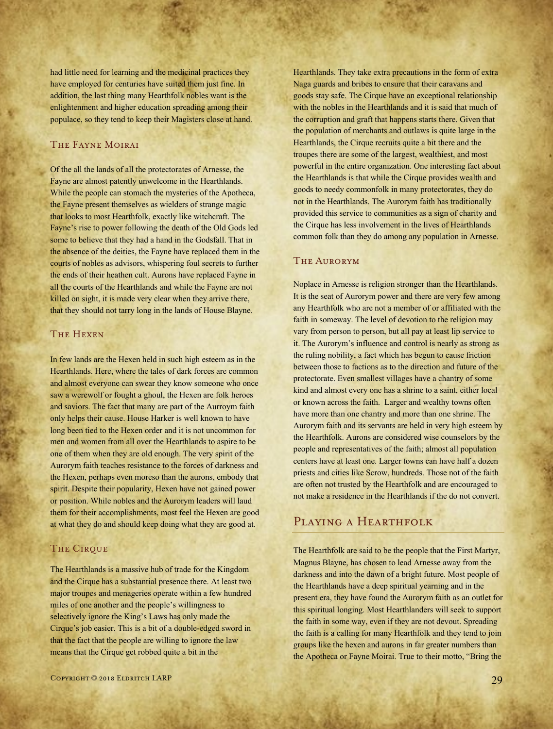had little need for learning and the medicinal practices they have employed for centuries have suited them just fine. In addition, the last thing many Hearthfolk nobles want is the enlightenment and higher education spreading among their populace, so they tend to keep their Magisters close at hand.

## The Fayne Moirai

Of the all the lands of all the protectorates of Arnesse, the Fayne are almost patently unwelcome in the Hearthlands. While the people can stomach the mysteries of the Apotheca, the Fayne present themselves as wielders of strange magic that looks to most Hearthfolk, exactly like witchcraft. The Fayne's rise to power following the death of the Old Gods led some to believe that they had a hand in the Godsfall. That in the absence of the deities, the Fayne have replaced them in the courts of nobles as advisors, whispering foul secrets to further the ends of their heathen cult. Aurons have replaced Fayne in all the courts of the Hearthlands and while the Fayne are not killed on sight, it is made very clear when they arrive there, that they should not tarry long in the lands of House Blayne.

## THE HEXEN

In few lands are the Hexen held in such high esteem as in the Hearthlands. Here, where the tales of dark forces are common and almost everyone can swear they know someone who once saw a werewolf or fought a ghoul, the Hexen are folk heroes and saviors. The fact that many are part of the Aurroym faith only helps their cause. House Harker is well known to have long been tied to the Hexen order and it is not uncommon for men and women from all over the Hearthlands to aspire to be one of them when they are old enough. The very spirit of the Aurorym faith teaches resistance to the forces of darkness and the Hexen, perhaps even moreso than the aurons, embody that spirit. Despite their popularity, Hexen have not gained power or position. While nobles and the Aurorym leaders will laud them for their accomplishments, most feel the Hexen are good at what they do and should keep doing what they are good at.

#### **THE CIRQUE**

The Hearthlands is a massive hub of trade for the Kingdom and the Cirque has a substantial presence there. At least two major troupes and menageries operate within a few hundred miles of one another and the people's willingness to selectively ignore the King's Laws has only made the Cirque's job easier. This is a bit of a double-edged sword in that the fact that the people are willing to ignore the law means that the Cirque get robbed quite a bit in the

Hearthlands. They take extra precautions in the form of extra Naga guards and bribes to ensure that their caravans and goods stay safe. The Cirque have an exceptional relationship with the nobles in the Hearthlands and it is said that much of the corruption and graft that happens starts there. Given that the population of merchants and outlaws is quite large in the Hearthlands, the Cirque recruits quite a bit there and the troupes there are some of the largest, wealthiest, and most powerful in the entire organization. One interesting fact about the Hearthlands is that while the Cirque provides wealth and goods to needy commonfolk in many protectorates, they do not in the Hearthlands. The Aurorym faith has traditionally provided this service to communities as a sign of charity and the Cirque has less involvement in the lives of Hearthlands common folk than they do among any population in Arnesse.

## The Aurorym

Noplace in Arnesse is religion stronger than the Hearthlands. It is the seat of Aurorym power and there are very few among any Hearthfolk who are not a member of or affiliated with the faith in someway. The level of devotion to the religion may vary from person to person, but all pay at least lip service to it. The Aurorym's influence and control is nearly as strong as the ruling nobility, a fact which has begun to cause friction between those to factions as to the direction and future of the protectorate. Even smallest villages have a chantry of some kind and almost every one has a shrine to a saint, either local or known across the faith. Larger and wealthy towns often have more than one chantry and more than one shrine. The Aurorym faith and its servants are held in very high esteem by the Hearthfolk. Aurons are considered wise counselors by the people and representatives of the faith; almost all population centers have at least one. Larger towns can have half a dozen priests and cities like Scrow, hundreds. Those not of the faith are often not trusted by the Hearthfolk and are encouraged to not make a residence in the Hearthlands if the do not convert.

## PLAYING A HEARTHFOLK

The Hearthfolk are said to be the people that the First Martyr, Magnus Blayne, has chosen to lead Arnesse away from the darkness and into the dawn of a bright future. Most people of the Hearthlands have a deep spiritual yearning and in the present era, they have found the Aurorym faith as an outlet for this spiritual longing. Most Hearthlanders will seek to support the faith in some way, even if they are not devout. Spreading the faith is a calling for many Hearthfolk and they tend to join groups like the hexen and aurons in far greater numbers than the Apotheca or Fayne Moirai. True to their motto, "Bring the